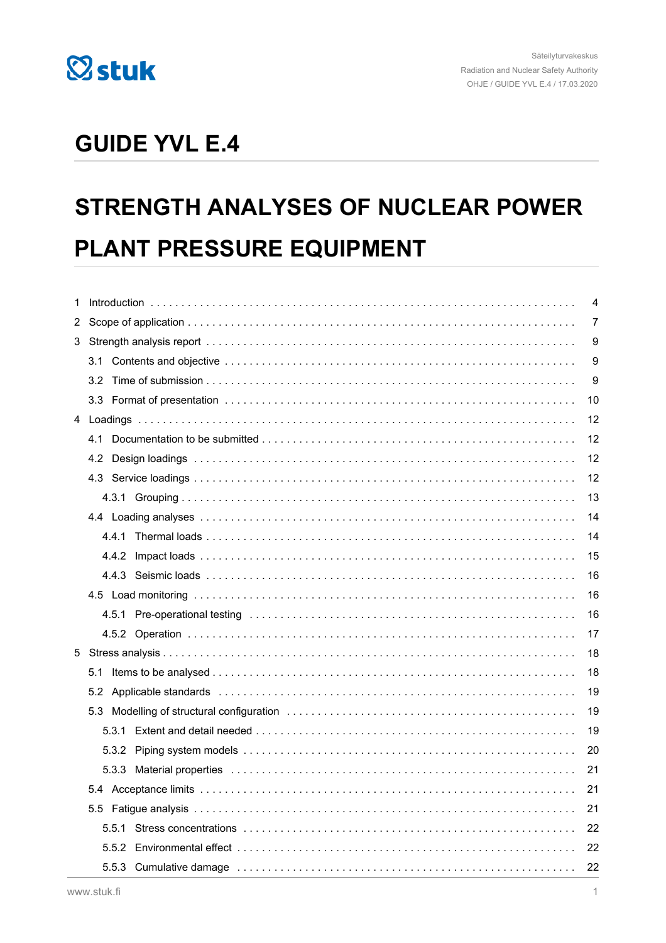

# **GUIDE YVL E.4**

# STRENGTH ANALYSES OF NUCLEAR POWER PLANT PRESSURE EQUIPMENT

| 1   |     | 4                                                                                                                                                                                                                              |    |  |  |
|-----|-----|--------------------------------------------------------------------------------------------------------------------------------------------------------------------------------------------------------------------------------|----|--|--|
|     |     |                                                                                                                                                                                                                                |    |  |  |
| 3.  |     |                                                                                                                                                                                                                                |    |  |  |
|     |     |                                                                                                                                                                                                                                | 9  |  |  |
|     | 3.2 |                                                                                                                                                                                                                                | 9  |  |  |
|     |     |                                                                                                                                                                                                                                | 10 |  |  |
|     |     |                                                                                                                                                                                                                                |    |  |  |
|     | 4.1 |                                                                                                                                                                                                                                | 12 |  |  |
|     | 4.2 |                                                                                                                                                                                                                                | 12 |  |  |
|     |     |                                                                                                                                                                                                                                | 12 |  |  |
|     |     |                                                                                                                                                                                                                                | 13 |  |  |
|     |     |                                                                                                                                                                                                                                | 14 |  |  |
|     |     |                                                                                                                                                                                                                                | 14 |  |  |
|     |     |                                                                                                                                                                                                                                | 15 |  |  |
|     |     |                                                                                                                                                                                                                                | 16 |  |  |
|     |     |                                                                                                                                                                                                                                | 16 |  |  |
|     |     | 4.5.1 Pre-operational testing (and accommodated contained and accommodated accommodated accommodated accommodated accommodated accommodated accommodated accommodated accommodated accommodated accommodated accommodated acco | 16 |  |  |
|     |     |                                                                                                                                                                                                                                | 17 |  |  |
|     |     |                                                                                                                                                                                                                                | 18 |  |  |
| 5.1 |     |                                                                                                                                                                                                                                | 18 |  |  |
|     |     |                                                                                                                                                                                                                                | 19 |  |  |
|     |     |                                                                                                                                                                                                                                | 19 |  |  |
|     |     |                                                                                                                                                                                                                                | 19 |  |  |
|     |     |                                                                                                                                                                                                                                | 20 |  |  |
|     |     |                                                                                                                                                                                                                                | 21 |  |  |
|     |     |                                                                                                                                                                                                                                | 21 |  |  |
|     |     |                                                                                                                                                                                                                                | 21 |  |  |
|     |     |                                                                                                                                                                                                                                | 22 |  |  |
|     |     |                                                                                                                                                                                                                                | 22 |  |  |
|     |     |                                                                                                                                                                                                                                | 22 |  |  |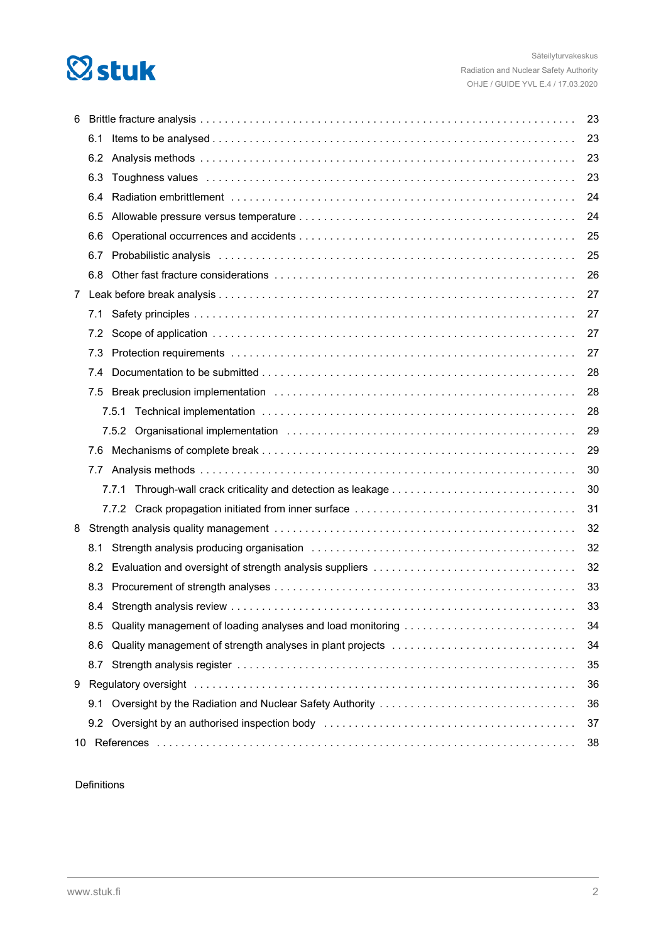# **Østuk**

| 6           |     |                                                                                                                                                                                                                               |    |  |  |
|-------------|-----|-------------------------------------------------------------------------------------------------------------------------------------------------------------------------------------------------------------------------------|----|--|--|
|             | 6.1 |                                                                                                                                                                                                                               | 23 |  |  |
|             |     |                                                                                                                                                                                                                               | 23 |  |  |
|             | 6.3 |                                                                                                                                                                                                                               | 23 |  |  |
|             | 6.4 |                                                                                                                                                                                                                               | 24 |  |  |
|             | 6.5 |                                                                                                                                                                                                                               | 24 |  |  |
|             | 6.6 |                                                                                                                                                                                                                               | 25 |  |  |
|             | 6.7 |                                                                                                                                                                                                                               | 25 |  |  |
|             | 6.8 |                                                                                                                                                                                                                               | 26 |  |  |
| $7^{\circ}$ |     |                                                                                                                                                                                                                               | 27 |  |  |
|             | 7.1 |                                                                                                                                                                                                                               | 27 |  |  |
|             |     |                                                                                                                                                                                                                               | 27 |  |  |
|             | 7.3 |                                                                                                                                                                                                                               | 27 |  |  |
|             | 7.4 |                                                                                                                                                                                                                               | 28 |  |  |
|             | 7.5 |                                                                                                                                                                                                                               | 28 |  |  |
|             |     |                                                                                                                                                                                                                               | 28 |  |  |
|             |     |                                                                                                                                                                                                                               | 29 |  |  |
|             |     |                                                                                                                                                                                                                               | 29 |  |  |
|             |     |                                                                                                                                                                                                                               | 30 |  |  |
|             |     |                                                                                                                                                                                                                               | 30 |  |  |
|             |     |                                                                                                                                                                                                                               | 31 |  |  |
| 8           |     |                                                                                                                                                                                                                               | 32 |  |  |
|             | 8.1 |                                                                                                                                                                                                                               | 32 |  |  |
|             |     |                                                                                                                                                                                                                               | 32 |  |  |
|             | 8.3 |                                                                                                                                                                                                                               | 33 |  |  |
|             |     |                                                                                                                                                                                                                               | 33 |  |  |
|             | 8.5 |                                                                                                                                                                                                                               | 34 |  |  |
|             | 8.6 | Quality management of strength analyses in plant projects                                                                                                                                                                     | 34 |  |  |
|             | 8.7 |                                                                                                                                                                                                                               | 35 |  |  |
| 9           |     |                                                                                                                                                                                                                               | 36 |  |  |
|             | 9.1 |                                                                                                                                                                                                                               | 36 |  |  |
|             |     | 9.2 Oversight by an authorised inspection body entertainment contained and contained to the original of the sum of the set of the set of the set of the set of the set of the set of the set of the set of the set of the set | 37 |  |  |
|             | 38  |                                                                                                                                                                                                                               |    |  |  |

Definitions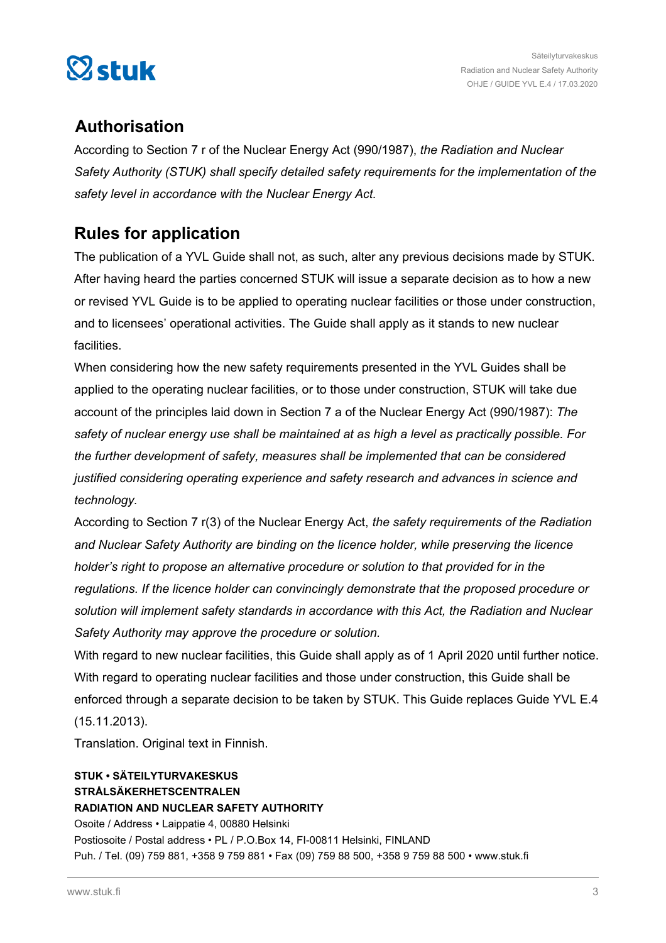

# **Authorisation**

According to Section 7 r of the Nuclear Energy Act (990/1987), *the Radiation and Nuclear Safety Authority (STUK) shall specify detailed safety requirements for the implementation of the safety level in accordance with the Nuclear Energy Act.*

# **Rules for application**

The publication of a YVL Guide shall not, as such, alter any previous decisions made by STUK. After having heard the parties concerned STUK will issue a separate decision as to how a new or revised YVL Guide is to be applied to operating nuclear facilities or those under construction, and to licensees' operational activities. The Guide shall apply as it stands to new nuclear facilities.

When considering how the new safety requirements presented in the YVL Guides shall be applied to the operating nuclear facilities, or to those under construction, STUK will take due account of the principles laid down in Section 7 a of the Nuclear Energy Act (990/1987): *The safety of nuclear energy use shall be maintained at as high a level as practically possible. For the further development of safety, measures shall be implemented that can be considered justified considering operating experience and safety research and advances in science and technology.*

According to Section 7 r(3) of the Nuclear Energy Act, *the safety requirements of the Radiation and Nuclear Safety Authority are binding on the licence holder, while preserving the licence holder's right to propose an alternative procedure or solution to that provided for in the regulations. If the licence holder can convincingly demonstrate that the proposed procedure or solution will implement safety standards in accordance with this Act, the Radiation and Nuclear Safety Authority may approve the procedure or solution.*

With regard to new nuclear facilities, this Guide shall apply as of 1 April 2020 until further notice. With regard to operating nuclear facilities and those under construction, this Guide shall be enforced through a separate decision to be taken by STUK. This Guide replaces Guide YVL E.4

(15.11.2013).

Translation. Original text in Finnish.

# **STUK • SÄTEILYTURVAKESKUS STRÅLSÄKERHETSCENTRALEN RADIATION AND NUCLEAR SAFETY AUTHORITY**

Osoite / Address • Laippatie 4, 00880 Helsinki Postiosoite / Postal address • PL / P.O.Box 14, FI-00811 Helsinki, FINLAND Puh. / Tel. (09) 759 881, +358 9 759 881 • Fax (09) 759 88 500, +358 9 759 88 500 • www.stuk.fi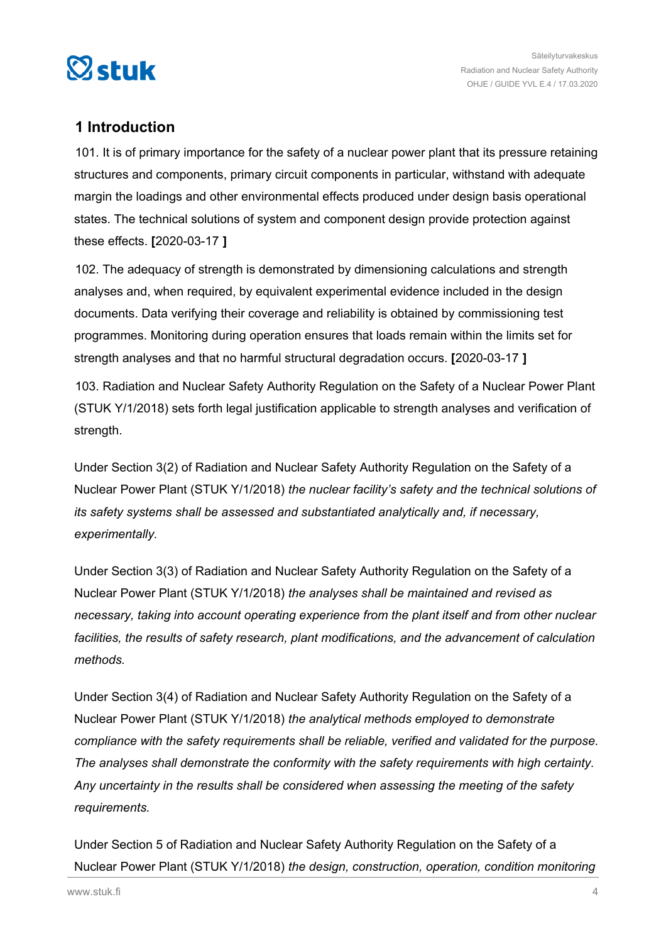<span id="page-3-0"></span>

# **1 Introduction**

101. It is of primary importance for the safety of a nuclear power plant that its pressure retaining structures and components, primary circuit components in particular, withstand with adequate margin the loadings and other environmental effects produced under design basis operational states. The technical solutions of system and component design provide protection against these effects. **[**2020-03-17 **]**

102. The adequacy of strength is demonstrated by dimensioning calculations and strength analyses and, when required, by equivalent experimental evidence included in the design documents. Data verifying their coverage and reliability is obtained by commissioning test programmes. Monitoring during operation ensures that loads remain within the limits set for strength analyses and that no harmful structural degradation occurs. **[**2020-03-17 **]**

103. Radiation and Nuclear Safety Authority Regulation on the Safety of a Nuclear Power Plant (STUK Y/1/2018) sets forth legal justification applicable to strength analyses and verification of strength.

Under Section 3(2) of Radiation and Nuclear Safety Authority Regulation on the Safety of a Nuclear Power Plant (STUK Y/1/2018) *the nuclear facility's safety and the technical solutions of its safety systems shall be assessed and substantiated analytically and, if necessary, experimentally.*

Under Section 3(3) of Radiation and Nuclear Safety Authority Regulation on the Safety of a Nuclear Power Plant (STUK Y/1/2018) *the analyses shall be maintained and revised as necessary, taking into account operating experience from the plant itself and from other nuclear facilities, the results of safety research, plant modifications, and the advancement of calculation methods.*

Under Section 3(4) of Radiation and Nuclear Safety Authority Regulation on the Safety of a Nuclear Power Plant (STUK Y/1/2018) *the analytical methods employed to demonstrate compliance with the safety requirements shall be reliable, verified and validated for the purpose. The analyses shall demonstrate the conformity with the safety requirements with high certainty. Any uncertainty in the results shall be considered when assessing the meeting of the safety requirements.*

Under Section 5 of Radiation and Nuclear Safety Authority Regulation on the Safety of a Nuclear Power Plant (STUK Y/1/2018) *the design, construction, operation, condition monitoring*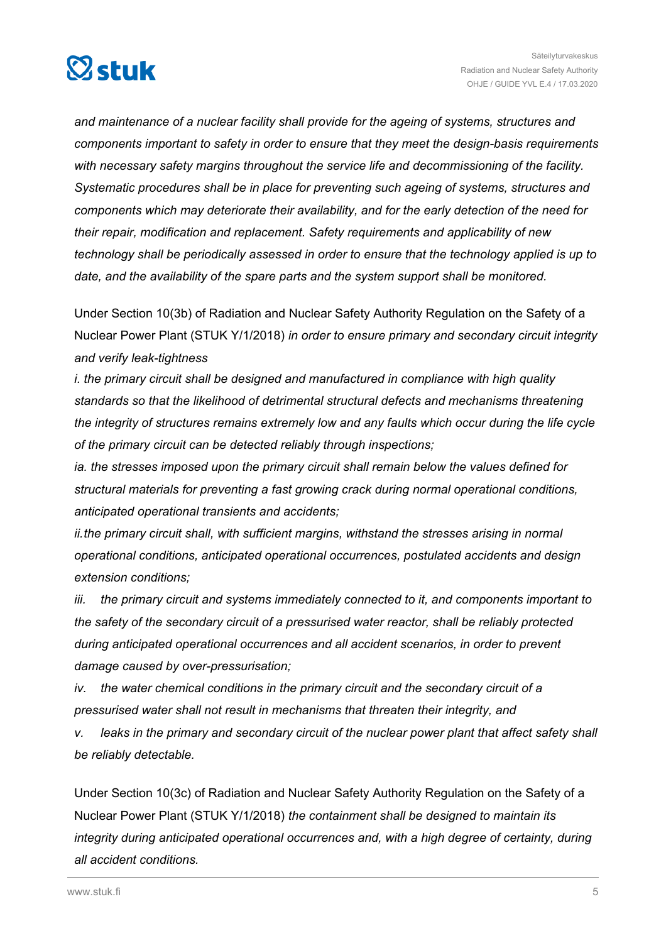

*and maintenance of a nuclear facility shall provide for the ageing of systems, structures and components important to safety in order to ensure that they meet the design-basis requirements with necessary safety margins throughout the service life and decommissioning of the facility. Systematic procedures shall be in place for preventing such ageing of systems, structures and components which may deteriorate their availability, and for the early detection of the need for their repair, modification and replacement. Safety requirements and applicability of new technology shall be periodically assessed in order to ensure that the technology applied is up to date, and the availability of the spare parts and the system support shall be monitored.*

Under Section 10(3b) of Radiation and Nuclear Safety Authority Regulation on the Safety of a Nuclear Power Plant (STUK Y/1/2018) *in order to ensure primary and secondary circuit integrity and verify leak-tightness*

*i. the primary circuit shall be designed and manufactured in compliance with high quality standards so that the likelihood of detrimental structural defects and mechanisms threatening the integrity of structures remains extremely low and any faults which occur during the life cycle of the primary circuit can be detected reliably through inspections;*

*ia. the stresses imposed upon the primary circuit shall remain below the values defined for structural materials for preventing a fast growing crack during normal operational conditions, anticipated operational transients and accidents;*

*ii.the primary circuit shall, with sufficient margins, withstand the stresses arising in normal operational conditions, anticipated operational occurrences, postulated accidents and design extension conditions;*

*iii. the primary circuit and systems immediately connected to it, and components important to the safety of the secondary circuit of a pressurised water reactor, shall be reliably protected during anticipated operational occurrences and all accident scenarios, in order to prevent damage caused by over-pressurisation;*

*iv. the water chemical conditions in the primary circuit and the secondary circuit of a pressurised water shall not result in mechanisms that threaten their integrity, and*

*v. leaks in the primary and secondary circuit of the nuclear power plant that affect safety shall be reliably detectable.* 

Under Section 10(3c) of Radiation and Nuclear Safety Authority Regulation on the Safety of a Nuclear Power Plant (STUK Y/1/2018) *the containment shall be designed to maintain its integrity during anticipated operational occurrences and, with a high degree of certainty, during all accident conditions.*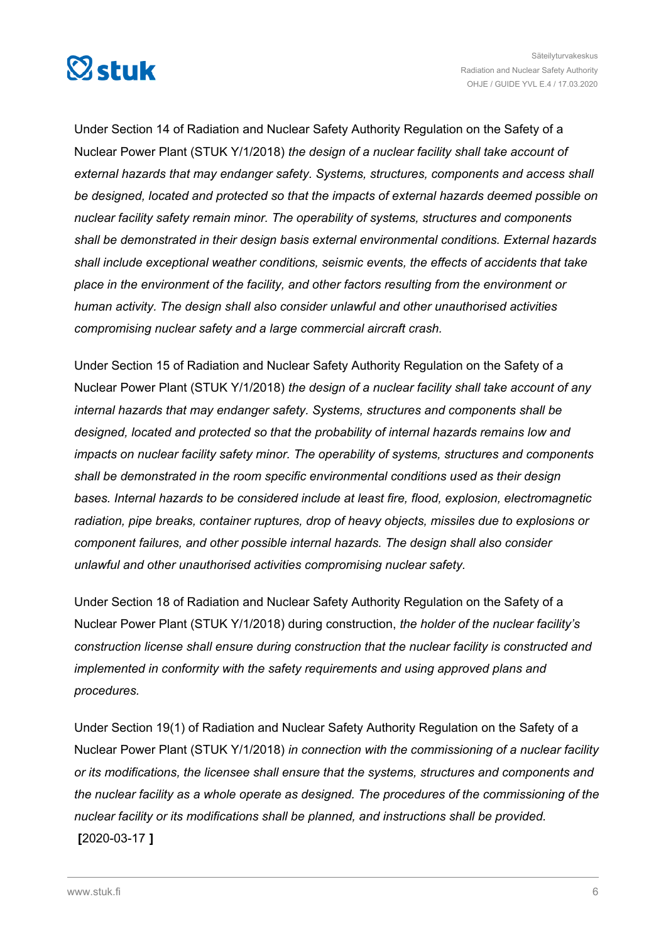

Under Section 14 of Radiation and Nuclear Safety Authority Regulation on the Safety of a Nuclear Power Plant (STUK Y/1/2018) *the design of a nuclear facility shall take account of external hazards that may endanger safety. Systems, structures, components and access shall be designed, located and protected so that the impacts of external hazards deemed possible on nuclear facility safety remain minor. The operability of systems, structures and components shall be demonstrated in their design basis external environmental conditions. External hazards shall include exceptional weather conditions, seismic events, the effects of accidents that take place in the environment of the facility, and other factors resulting from the environment or human activity. The design shall also consider unlawful and other unauthorised activities compromising nuclear safety and a large commercial aircraft crash.*

Under Section 15 of Radiation and Nuclear Safety Authority Regulation on the Safety of a Nuclear Power Plant (STUK Y/1/2018) *the design of a nuclear facility shall take account of any internal hazards that may endanger safety. Systems, structures and components shall be designed, located and protected so that the probability of internal hazards remains low and impacts on nuclear facility safety minor. The operability of systems, structures and components shall be demonstrated in the room specific environmental conditions used as their design bases. Internal hazards to be considered include at least fire, flood, explosion, electromagnetic radiation, pipe breaks, container ruptures, drop of heavy objects, missiles due to explosions or component failures, and other possible internal hazards. The design shall also consider unlawful and other unauthorised activities compromising nuclear safety.*

Under Section 18 of Radiation and Nuclear Safety Authority Regulation on the Safety of a Nuclear Power Plant (STUK Y/1/2018) during construction, *the holder of the nuclear facility's construction license shall ensure during construction that the nuclear facility is constructed and implemented in conformity with the safety requirements and using approved plans and procedures.*

Under Section 19(1) of Radiation and Nuclear Safety Authority Regulation on the Safety of a Nuclear Power Plant (STUK Y/1/2018) *in connection with the commissioning of a nuclear facility or its modifications, the licensee shall ensure that the systems, structures and components and the nuclear facility as a whole operate as designed. The procedures of the commissioning of the nuclear facility or its modifications shall be planned, and instructions shall be provided.* **[**2020-03-17 **]**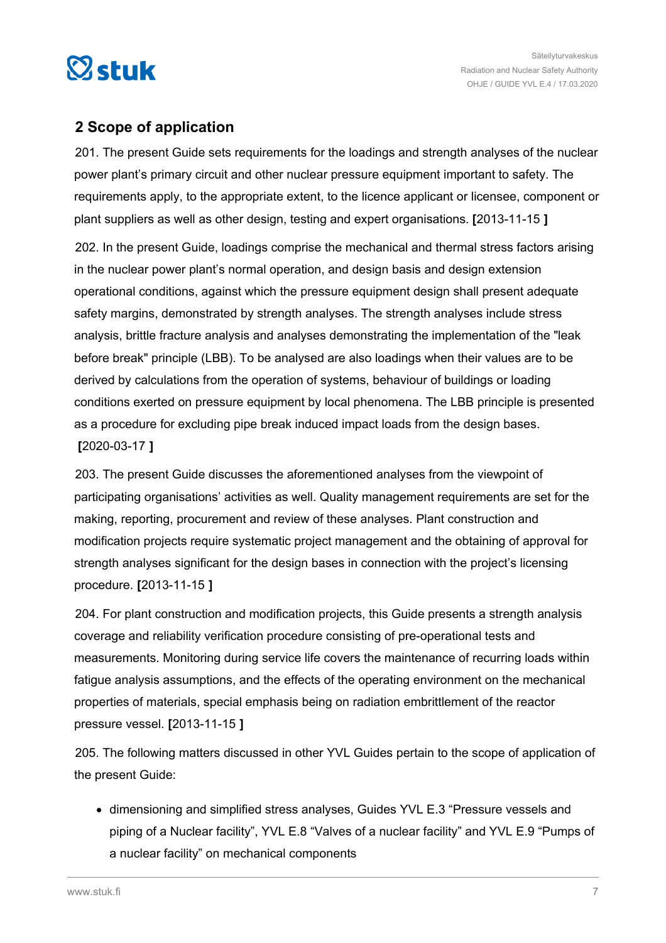<span id="page-6-0"></span>

# **2 Scope of application**

201. The present Guide sets requirements for the loadings and strength analyses of the nuclear power plant's primary circuit and other nuclear pressure equipment important to safety. The requirements apply, to the appropriate extent, to the licence applicant or licensee, component or plant suppliers as well as other design, testing and expert organisations. **[**2013-11-15 **]**

202. In the present Guide, loadings comprise the mechanical and thermal stress factors arising in the nuclear power plant's normal operation, and design basis and design extension operational conditions, against which the pressure equipment design shall present adequate safety margins, demonstrated by strength analyses. The strength analyses include stress analysis, brittle fracture analysis and analyses demonstrating the implementation of the "leak before break" principle (LBB). To be analysed are also loadings when their values are to be derived by calculations from the operation of systems, behaviour of buildings or loading conditions exerted on pressure equipment by local phenomena. The LBB principle is presented as a procedure for excluding pipe break induced impact loads from the design bases. **[**2020-03-17 **]**

203. The present Guide discusses the aforementioned analyses from the viewpoint of participating organisations' activities as well. Quality management requirements are set for the making, reporting, procurement and review of these analyses. Plant construction and modification projects require systematic project management and the obtaining of approval for strength analyses significant for the design bases in connection with the project's licensing procedure. **[**2013-11-15 **]**

204. For plant construction and modification projects, this Guide presents a strength analysis coverage and reliability verification procedure consisting of pre-operational tests and measurements. Monitoring during service life covers the maintenance of recurring loads within fatigue analysis assumptions, and the effects of the operating environment on the mechanical properties of materials, special emphasis being on radiation embrittlement of the reactor pressure vessel. **[**2013-11-15 **]**

205. The following matters discussed in other YVL Guides pertain to the scope of application of the present Guide:

dimensioning and simplified stress analyses, Guides YVL E.3 "Pressure vessels and piping of a Nuclear facility", YVL E.8 "Valves of a nuclear facility" and YVL E.9 "Pumps of a nuclear facility" on mechanical components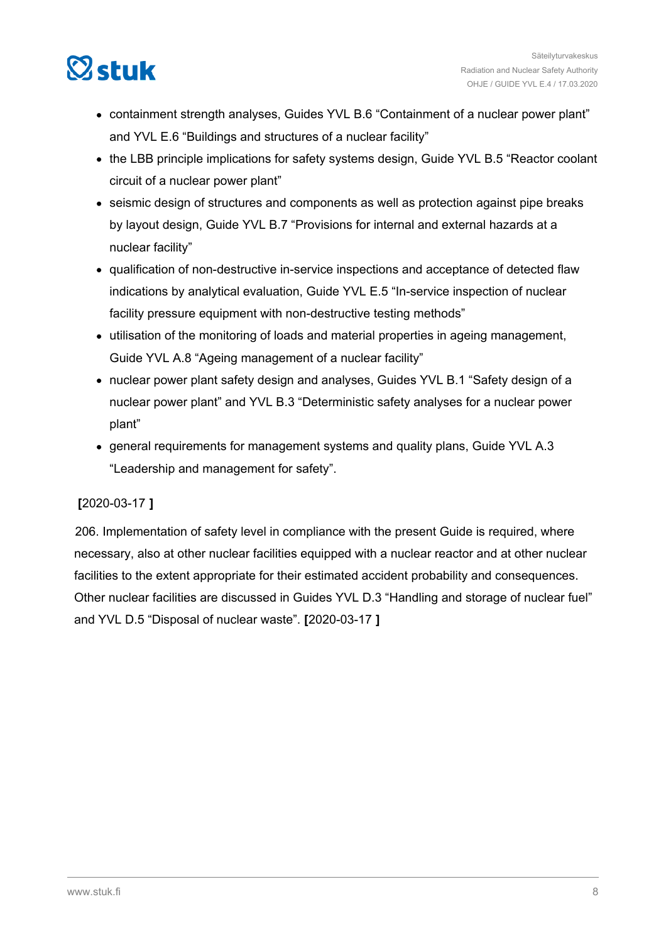

- containment strength analyses, Guides YVL B.6 "Containment of a nuclear power plant" and YVL E.6 "Buildings and structures of a nuclear facility"
- the LBB principle implications for safety systems design, Guide YVL B.5 "Reactor coolant circuit of a nuclear power plant"
- seismic design of structures and components as well as protection against pipe breaks by layout design, Guide YVL B.7 "Provisions for internal and external hazards at a nuclear facility"
- qualification of non-destructive in-service inspections and acceptance of detected flaw indications by analytical evaluation, Guide YVL E.5 "In-service inspection of nuclear facility pressure equipment with non-destructive testing methods"
- utilisation of the monitoring of loads and material properties in ageing management, Guide YVL A.8 "Ageing management of a nuclear facility"
- nuclear power plant safety design and analyses, Guides YVL B.1 "Safety design of a nuclear power plant" and YVL B.3 "Deterministic safety analyses for a nuclear power plant"
- general requirements for management systems and quality plans, Guide YVL A.3 "Leadership and management for safety".

# **[**2020-03-17 **]**

206. Implementation of safety level in compliance with the present Guide is required, where necessary, also at other nuclear facilities equipped with a nuclear reactor and at other nuclear facilities to the extent appropriate for their estimated accident probability and consequences. Other nuclear facilities are discussed in Guides YVL D.3 "Handling and storage of nuclear fuel" and YVL D.5 "Disposal of nuclear waste". **[**2020-03-17 **]**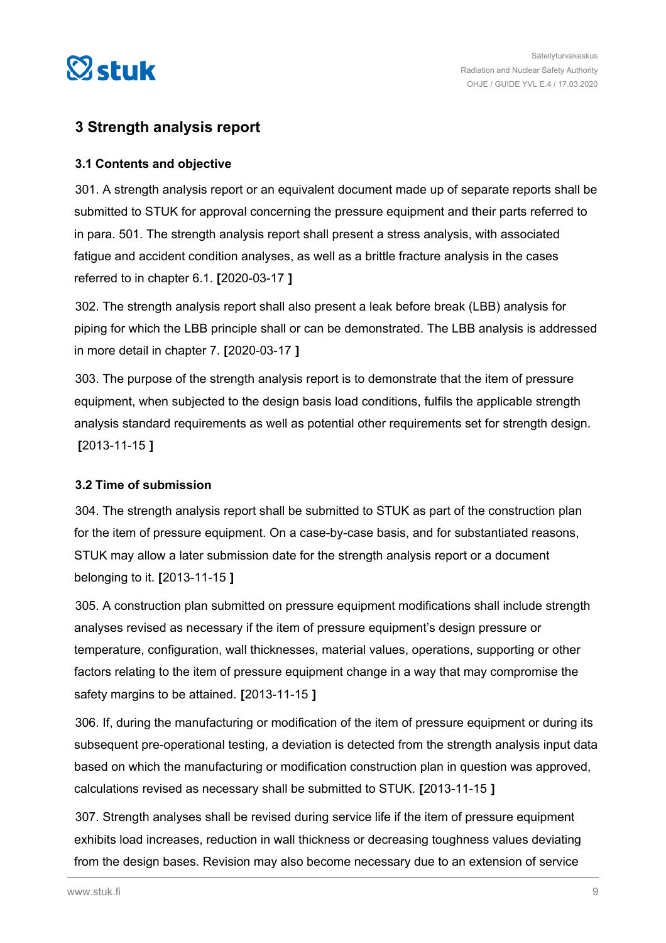<span id="page-8-0"></span>

# **3 Strength analysis report**

# **3.1 Contents and objective**

301. A strength analysis report or an equivalent document made up of separate reports shall be submitted to STUK for approval concerning the pressure equipment and their parts referred to in para. 501. The strength analysis report shall present a stress analysis, with associated fatigue and accident condition analyses, as well as a brittle fracture analysis in the cases referred to in chapter 6.1. **[**2020-03-17 **]**

302. The strength analysis report shall also present a leak before break (LBB) analysis for piping for which the LBB principle shall or can be demonstrated. The LBB analysis is addressed in more detail in chapter 7. **[**2020-03-17 **]**

303. The purpose of the strength analysis report is to demonstrate that the item of pressure equipment, when subjected to the design basis load conditions, fulfils the applicable strength analysis standard requirements as well as potential other requirements set for strength design. **[**2013-11-15 **]**

# **3.2 Time of submission**

304. The strength analysis report shall be submitted to STUK as part of the construction plan for the item of pressure equipment. On a case-by-case basis, and for substantiated reasons, STUK may allow a later submission date for the strength analysis report or a document belonging to it. **[**2013-11-15 **]**

305. A construction plan submitted on pressure equipment modifications shall include strength analyses revised as necessary if the item of pressure equipment's design pressure or temperature, configuration, wall thicknesses, material values, operations, supporting or other factors relating to the item of pressure equipment change in a way that may compromise the safety margins to be attained. **[**2013-11-15 **]**

306. If, during the manufacturing or modification of the item of pressure equipment or during its subsequent pre-operational testing, a deviation is detected from the strength analysis input data based on which the manufacturing or modification construction plan in question was approved, calculations revised as necessary shall be submitted to STUK. **[**2013-11-15 **]**

307. Strength analyses shall be revised during service life if the item of pressure equipment exhibits load increases, reduction in wall thickness or decreasing toughness values deviating from the design bases. Revision may also become necessary due to an extension of service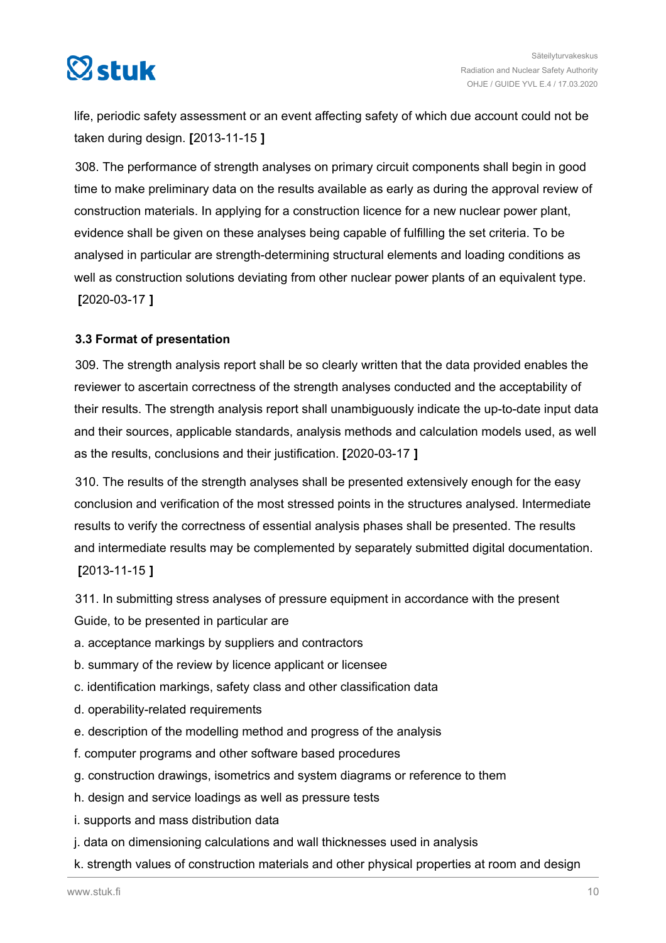<span id="page-9-0"></span>

life, periodic safety assessment or an event affecting safety of which due account could not be taken during design. **[**2013-11-15 **]**

308. The performance of strength analyses on primary circuit components shall begin in good time to make preliminary data on the results available as early as during the approval review of construction materials. In applying for a construction licence for a new nuclear power plant, evidence shall be given on these analyses being capable of fulfilling the set criteria. To be analysed in particular are strength-determining structural elements and loading conditions as well as construction solutions deviating from other nuclear power plants of an equivalent type. **[**2020-03-17 **]**

# **3.3 Format of presentation**

309. The strength analysis report shall be so clearly written that the data provided enables the reviewer to ascertain correctness of the strength analyses conducted and the acceptability of their results. The strength analysis report shall unambiguously indicate the up-to-date input data and their sources, applicable standards, analysis methods and calculation models used, as well as the results, conclusions and their justification. **[**2020-03-17 **]**

310. The results of the strength analyses shall be presented extensively enough for the easy conclusion and verification of the most stressed points in the structures analysed. Intermediate results to verify the correctness of essential analysis phases shall be presented. The results and intermediate results may be complemented by separately submitted digital documentation. **[**2013-11-15 **]**

311. In submitting stress analyses of pressure equipment in accordance with the present Guide, to be presented in particular are

- a. acceptance markings by suppliers and contractors
- b. summary of the review by licence applicant or licensee
- c. identification markings, safety class and other classification data
- d. operability-related requirements
- e. description of the modelling method and progress of the analysis
- f. computer programs and other software based procedures
- g. construction drawings, isometrics and system diagrams or reference to them
- h. design and service loadings as well as pressure tests
- i. supports and mass distribution data
- j. data on dimensioning calculations and wall thicknesses used in analysis
- k. strength values of construction materials and other physical properties at room and design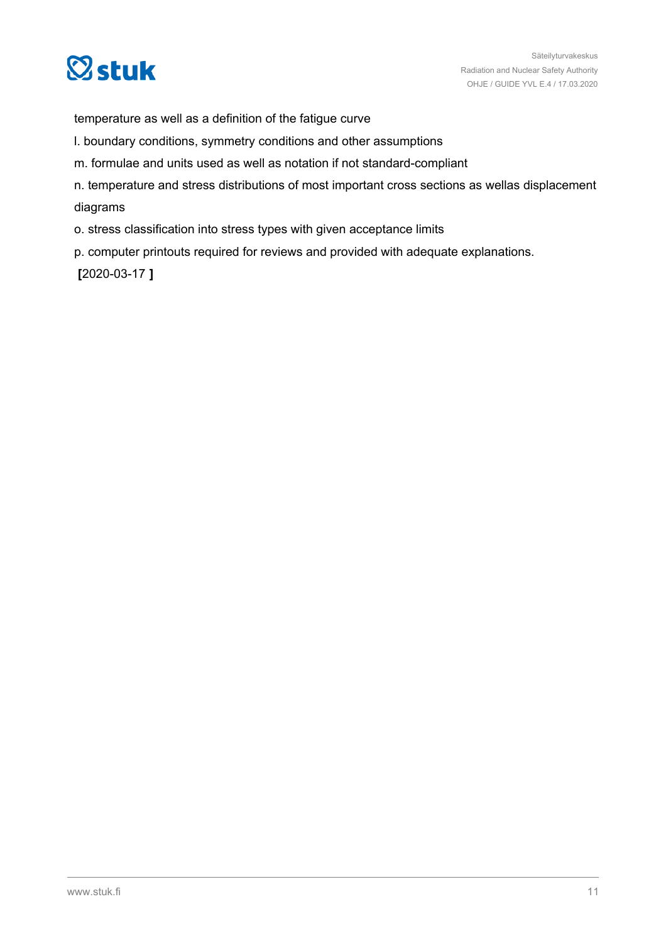

temperature as well as a definition of the fatigue curve

- l. boundary conditions, symmetry conditions and other assumptions
- m. formulae and units used as well as notation if not standard-compliant
- n. temperature and stress distributions of most important cross sections as wellas displacement diagrams
- o. stress classification into stress types with given acceptance limits
- p. computer printouts required for reviews and provided with adequate explanations.

**[**2020-03-17 **]**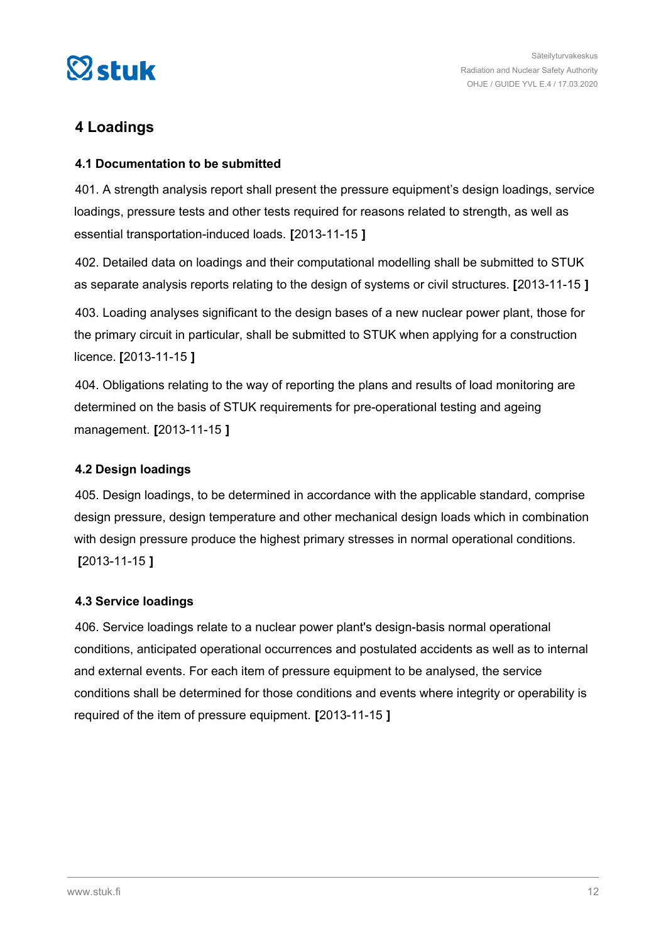<span id="page-11-0"></span>

# **4 Loadings**

# **4.1 Documentation to be submitted**

401. A strength analysis report shall present the pressure equipment's design loadings, service loadings, pressure tests and other tests required for reasons related to strength, as well as essential transportation-induced loads. **[**2013-11-15 **]**

402. Detailed data on loadings and their computational modelling shall be submitted to STUK as separate analysis reports relating to the design of systems or civil structures. **[**2013-11-15 **]**

403. Loading analyses significant to the design bases of a new nuclear power plant, those for the primary circuit in particular, shall be submitted to STUK when applying for a construction licence. **[**2013-11-15 **]**

404. Obligations relating to the way of reporting the plans and results of load monitoring are determined on the basis of STUK requirements for pre-operational testing and ageing management. **[**2013-11-15 **]**

# **4.2 Design loadings**

405. Design loadings, to be determined in accordance with the applicable standard, comprise design pressure, design temperature and other mechanical design loads which in combination with design pressure produce the highest primary stresses in normal operational conditions. **[**2013-11-15 **]**

## **4.3 Service loadings**

406. Service loadings relate to a nuclear power plant's design-basis normal operational conditions, anticipated operational occurrences and postulated accidents as well as to internal and external events. For each item of pressure equipment to be analysed, the service conditions shall be determined for those conditions and events where integrity or operability is required of the item of pressure equipment. **[**2013-11-15 **]**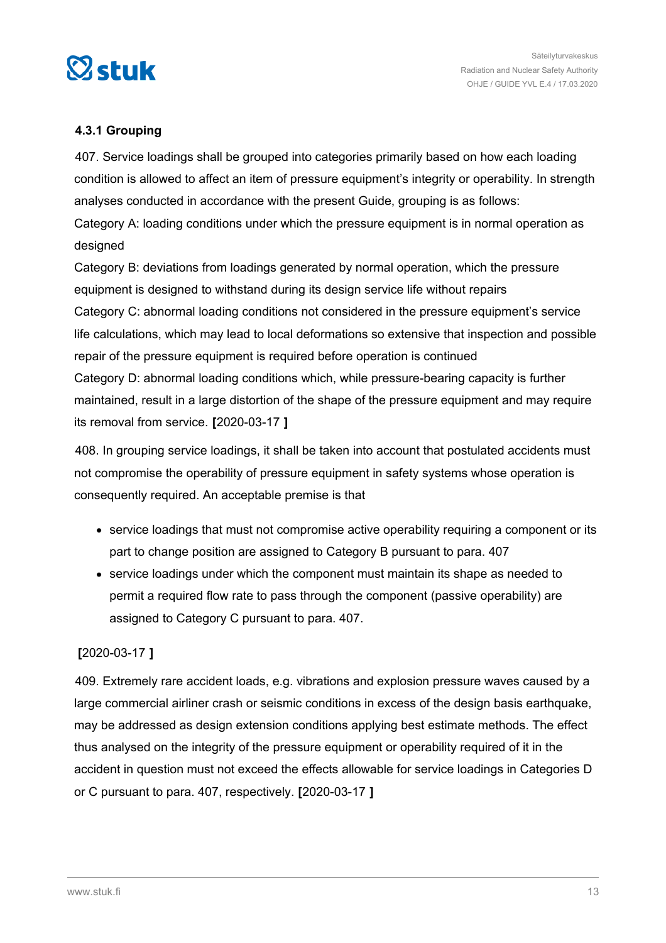<span id="page-12-0"></span>

# **4.3.1 Grouping**

407. Service loadings shall be grouped into categories primarily based on how each loading condition is allowed to affect an item of pressure equipment's integrity or operability. In strength analyses conducted in accordance with the present Guide, grouping is as follows: Category A: loading conditions under which the pressure equipment is in normal operation as designed

Category B: deviations from loadings generated by normal operation, which the pressure equipment is designed to withstand during its design service life without repairs Category C: abnormal loading conditions not considered in the pressure equipment's service life calculations, which may lead to local deformations so extensive that inspection and possible repair of the pressure equipment is required before operation is continued Category D: abnormal loading conditions which, while pressure-bearing capacity is further maintained, result in a large distortion of the shape of the pressure equipment and may require its removal from service. **[**2020-03-17 **]**

408. In grouping service loadings, it shall be taken into account that postulated accidents must not compromise the operability of pressure equipment in safety systems whose operation is consequently required. An acceptable premise is that

- service loadings that must not compromise active operability requiring a component or its part to change position are assigned to Category B pursuant to para. 407
- service loadings under which the component must maintain its shape as needed to permit a required flow rate to pass through the component (passive operability) are assigned to Category C pursuant to para. 407.

# **[**2020-03-17 **]**

409. Extremely rare accident loads, e.g. vibrations and explosion pressure waves caused by a large commercial airliner crash or seismic conditions in excess of the design basis earthquake, may be addressed as design extension conditions applying best estimate methods. The effect thus analysed on the integrity of the pressure equipment or operability required of it in the accident in question must not exceed the effects allowable for service loadings in Categories D or C pursuant to para. 407, respectively. **[**2020-03-17 **]**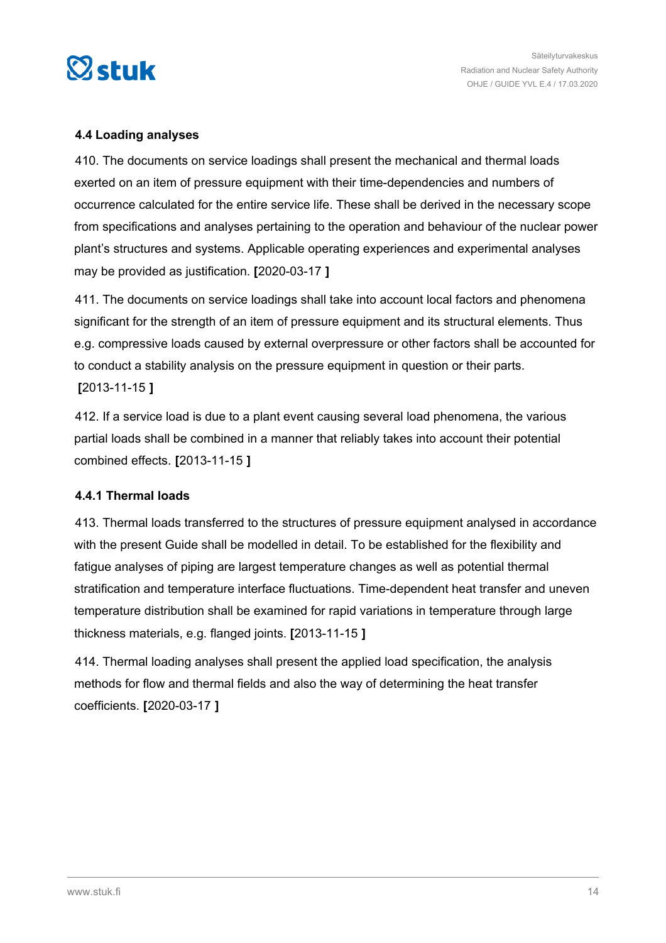<span id="page-13-0"></span>

# **4.4 Loading analyses**

410. The documents on service loadings shall present the mechanical and thermal loads exerted on an item of pressure equipment with their time-dependencies and numbers of occurrence calculated for the entire service life. These shall be derived in the necessary scope from specifications and analyses pertaining to the operation and behaviour of the nuclear power plant's structures and systems. Applicable operating experiences and experimental analyses may be provided as justification. **[**2020-03-17 **]**

411. The documents on service loadings shall take into account local factors and phenomena significant for the strength of an item of pressure equipment and its structural elements. Thus e.g. compressive loads caused by external overpressure or other factors shall be accounted for to conduct a stability analysis on the pressure equipment in question or their parts. **[**2013-11-15 **]**

412. If a service load is due to a plant event causing several load phenomena, the various partial loads shall be combined in a manner that reliably takes into account their potential combined effects. **[**2013-11-15 **]**

# **4.4.1 Thermal loads**

413. Thermal loads transferred to the structures of pressure equipment analysed in accordance with the present Guide shall be modelled in detail. To be established for the flexibility and fatigue analyses of piping are largest temperature changes as well as potential thermal stratification and temperature interface fluctuations. Time-dependent heat transfer and uneven temperature distribution shall be examined for rapid variations in temperature through large thickness materials, e.g. flanged joints. **[**2013-11-15 **]**

414. Thermal loading analyses shall present the applied load specification, the analysis methods for flow and thermal fields and also the way of determining the heat transfer coefficients. **[**2020-03-17 **]**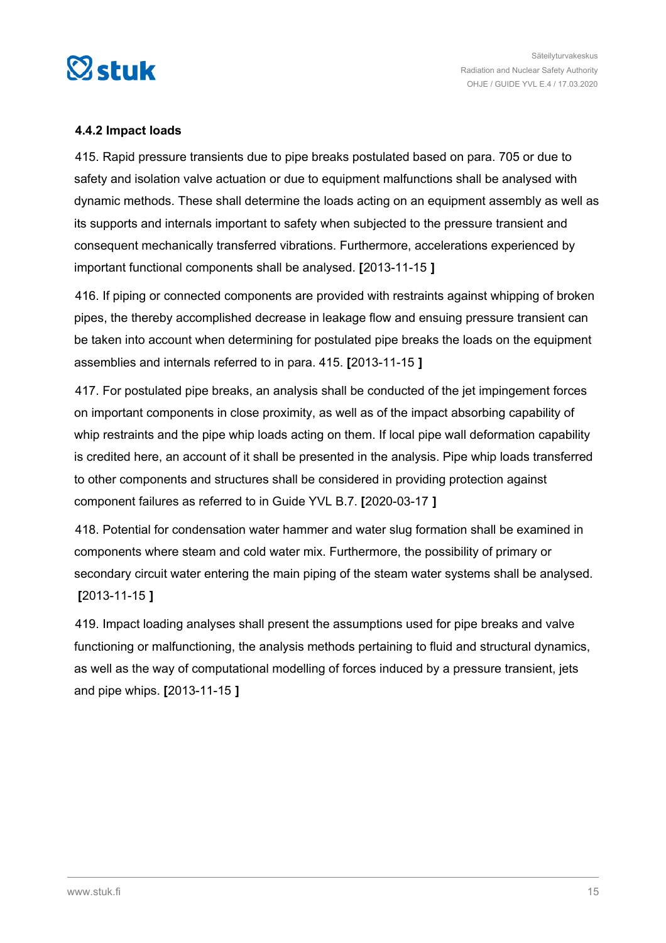<span id="page-14-0"></span>

# **4.4.2 Impact loads**

415. Rapid pressure transients due to pipe breaks postulated based on para. 705 or due to safety and isolation valve actuation or due to equipment malfunctions shall be analysed with dynamic methods. These shall determine the loads acting on an equipment assembly as well as its supports and internals important to safety when subjected to the pressure transient and consequent mechanically transferred vibrations. Furthermore, accelerations experienced by important functional components shall be analysed. **[**2013-11-15 **]**

416. If piping or connected components are provided with restraints against whipping of broken pipes, the thereby accomplished decrease in leakage flow and ensuing pressure transient can be taken into account when determining for postulated pipe breaks the loads on the equipment assemblies and internals referred to in para. 415. **[**2013-11-15 **]**

417. For postulated pipe breaks, an analysis shall be conducted of the jet impingement forces on important components in close proximity, as well as of the impact absorbing capability of whip restraints and the pipe whip loads acting on them. If local pipe wall deformation capability is credited here, an account of it shall be presented in the analysis. Pipe whip loads transferred to other components and structures shall be considered in providing protection against component failures as referred to in Guide YVL B.7. **[**2020-03-17 **]**

418. Potential for condensation water hammer and water slug formation shall be examined in components where steam and cold water mix. Furthermore, the possibility of primary or secondary circuit water entering the main piping of the steam water systems shall be analysed. **[**2013-11-15 **]**

419. Impact loading analyses shall present the assumptions used for pipe breaks and valve functioning or malfunctioning, the analysis methods pertaining to fluid and structural dynamics, as well as the way of computational modelling of forces induced by a pressure transient, jets and pipe whips. **[**2013-11-15 **]**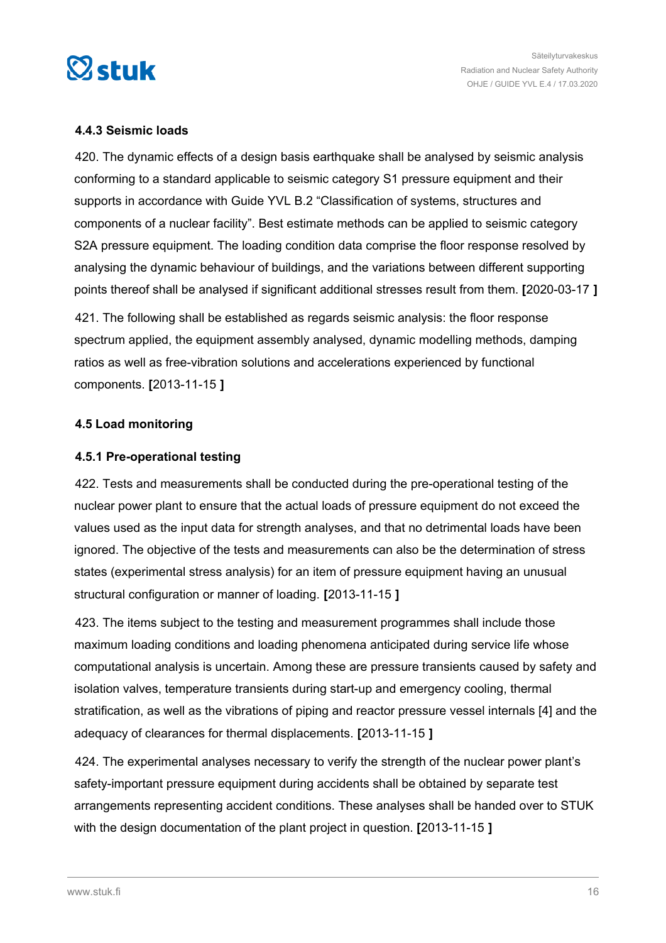<span id="page-15-0"></span>

# **4.4.3 Seismic loads**

420. The dynamic effects of a design basis earthquake shall be analysed by seismic analysis conforming to a standard applicable to seismic category S1 pressure equipment and their supports in accordance with Guide YVL B.2 "Classification of systems, structures and components of a nuclear facility". Best estimate methods can be applied to seismic category S2A pressure equipment. The loading condition data comprise the floor response resolved by analysing the dynamic behaviour of buildings, and the variations between different supporting points thereof shall be analysed if significant additional stresses result from them. **[**2020-03-17 **]**

421. The following shall be established as regards seismic analysis: the floor response spectrum applied, the equipment assembly analysed, dynamic modelling methods, damping ratios as well as free-vibration solutions and accelerations experienced by functional components. **[**2013-11-15 **]**

## **4.5 Load monitoring**

# **4.5.1 Pre-operational testing**

422. Tests and measurements shall be conducted during the pre-operational testing of the nuclear power plant to ensure that the actual loads of pressure equipment do not exceed the values used as the input data for strength analyses, and that no detrimental loads have been ignored. The objective of the tests and measurements can also be the determination of stress states (experimental stress analysis) for an item of pressure equipment having an unusual structural configuration or manner of loading. **[**2013-11-15 **]**

423. The items subject to the testing and measurement programmes shall include those maximum loading conditions and loading phenomena anticipated during service life whose computational analysis is uncertain. Among these are pressure transients caused by safety and isolation valves, temperature transients during start-up and emergency cooling, thermal stratification, as well as the vibrations of piping and reactor pressure vessel internals [4] and the adequacy of clearances for thermal displacements. **[**2013-11-15 **]**

424. The experimental analyses necessary to verify the strength of the nuclear power plant's safety-important pressure equipment during accidents shall be obtained by separate test arrangements representing accident conditions. These analyses shall be handed over to STUK with the design documentation of the plant project in question. **[**2013-11-15 **]**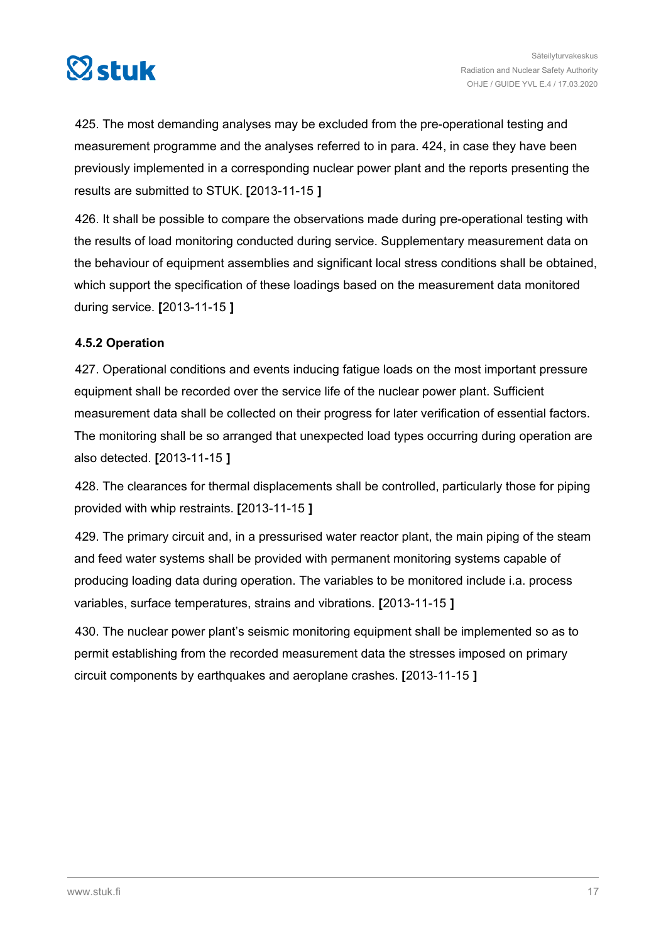<span id="page-16-0"></span>

425. The most demanding analyses may be excluded from the pre-operational testing and measurement programme and the analyses referred to in para. 424, in case they have been previously implemented in a corresponding nuclear power plant and the reports presenting the results are submitted to STUK. **[**2013-11-15 **]**

426. It shall be possible to compare the observations made during pre-operational testing with the results of load monitoring conducted during service. Supplementary measurement data on the behaviour of equipment assemblies and significant local stress conditions shall be obtained, which support the specification of these loadings based on the measurement data monitored during service. **[**2013-11-15 **]**

# **4.5.2 Operation**

427. Operational conditions and events inducing fatigue loads on the most important pressure equipment shall be recorded over the service life of the nuclear power plant. Sufficient measurement data shall be collected on their progress for later verification of essential factors. The monitoring shall be so arranged that unexpected load types occurring during operation are also detected. **[**2013-11-15 **]**

428. The clearances for thermal displacements shall be controlled, particularly those for piping provided with whip restraints. **[**2013-11-15 **]**

429. The primary circuit and, in a pressurised water reactor plant, the main piping of the steam and feed water systems shall be provided with permanent monitoring systems capable of producing loading data during operation. The variables to be monitored include i.a. process variables, surface temperatures, strains and vibrations. **[**2013-11-15 **]**

430. The nuclear power plant's seismic monitoring equipment shall be implemented so as to permit establishing from the recorded measurement data the stresses imposed on primary circuit components by earthquakes and aeroplane crashes. **[**2013-11-15 **]**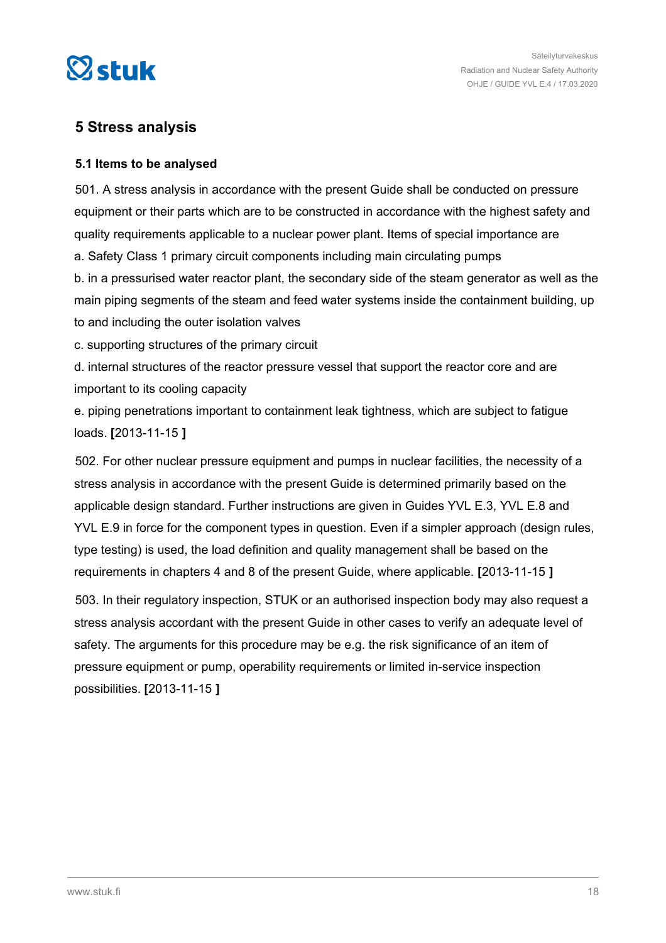<span id="page-17-0"></span>

# **5 Stress analysis**

# **5.1 Items to be analysed**

501. A stress analysis in accordance with the present Guide shall be conducted on pressure equipment or their parts which are to be constructed in accordance with the highest safety and quality requirements applicable to a nuclear power plant. Items of special importance are a. Safety Class 1 primary circuit components including main circulating pumps b. in a pressurised water reactor plant, the secondary side of the steam generator as well as the main piping segments of the steam and feed water systems inside the containment building, up to and including the outer isolation valves

c. supporting structures of the primary circuit

d. internal structures of the reactor pressure vessel that support the reactor core and are important to its cooling capacity

e. piping penetrations important to containment leak tightness, which are subject to fatigue loads. **[**2013-11-15 **]**

502. For other nuclear pressure equipment and pumps in nuclear facilities, the necessity of a stress analysis in accordance with the present Guide is determined primarily based on the applicable design standard. Further instructions are given in Guides YVL E.3, YVL E.8 and YVL E.9 in force for the component types in question. Even if a simpler approach (design rules, type testing) is used, the load definition and quality management shall be based on the requirements in chapters 4 and 8 of the present Guide, where applicable. **[**2013-11-15 **]**

503. In their regulatory inspection, STUK or an authorised inspection body may also request a stress analysis accordant with the present Guide in other cases to verify an adequate level of safety. The arguments for this procedure may be e.g. the risk significance of an item of pressure equipment or pump, operability requirements or limited in-service inspection possibilities. **[**2013-11-15 **]**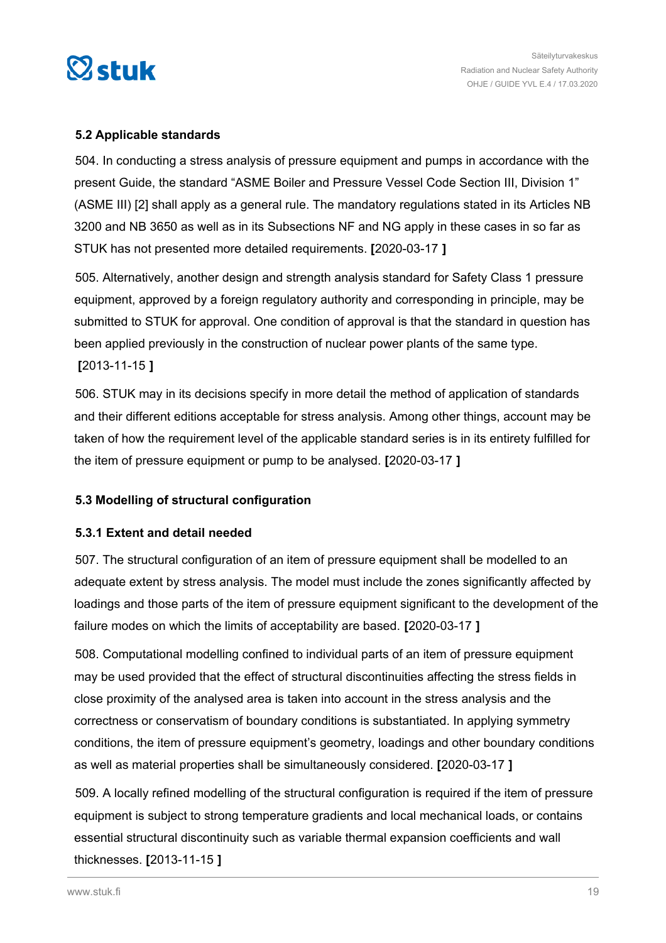<span id="page-18-0"></span>

# **5.2 Applicable standards**

504. In conducting a stress analysis of pressure equipment and pumps in accordance with the present Guide, the standard "ASME Boiler and Pressure Vessel Code Section III, Division 1" (ASME III) [2] shall apply as a general rule. The mandatory regulations stated in its Articles NB 3200 and NB 3650 as well as in its Subsections NF and NG apply in these cases in so far as STUK has not presented more detailed requirements. **[**2020-03-17 **]**

505. Alternatively, another design and strength analysis standard for Safety Class 1 pressure equipment, approved by a foreign regulatory authority and corresponding in principle, may be submitted to STUK for approval. One condition of approval is that the standard in question has been applied previously in the construction of nuclear power plants of the same type.

**[**2013-11-15 **]**

506. STUK may in its decisions specify in more detail the method of application of standards and their different editions acceptable for stress analysis. Among other things, account may be taken of how the requirement level of the applicable standard series is in its entirety fulfilled for the item of pressure equipment or pump to be analysed. **[**2020-03-17 **]**

# **5.3 Modelling of structural configuration**

# **5.3.1 Extent and detail needed**

507. The structural configuration of an item of pressure equipment shall be modelled to an adequate extent by stress analysis. The model must include the zones significantly affected by loadings and those parts of the item of pressure equipment significant to the development of the failure modes on which the limits of acceptability are based. **[**2020-03-17 **]**

508. Computational modelling confined to individual parts of an item of pressure equipment may be used provided that the effect of structural discontinuities affecting the stress fields in close proximity of the analysed area is taken into account in the stress analysis and the correctness or conservatism of boundary conditions is substantiated. In applying symmetry conditions, the item of pressure equipment's geometry, loadings and other boundary conditions as well as material properties shall be simultaneously considered. **[**2020-03-17 **]**

509. A locally refined modelling of the structural configuration is required if the item of pressure equipment is subject to strong temperature gradients and local mechanical loads, or contains essential structural discontinuity such as variable thermal expansion coefficients and wall thicknesses. **[**2013-11-15 **]**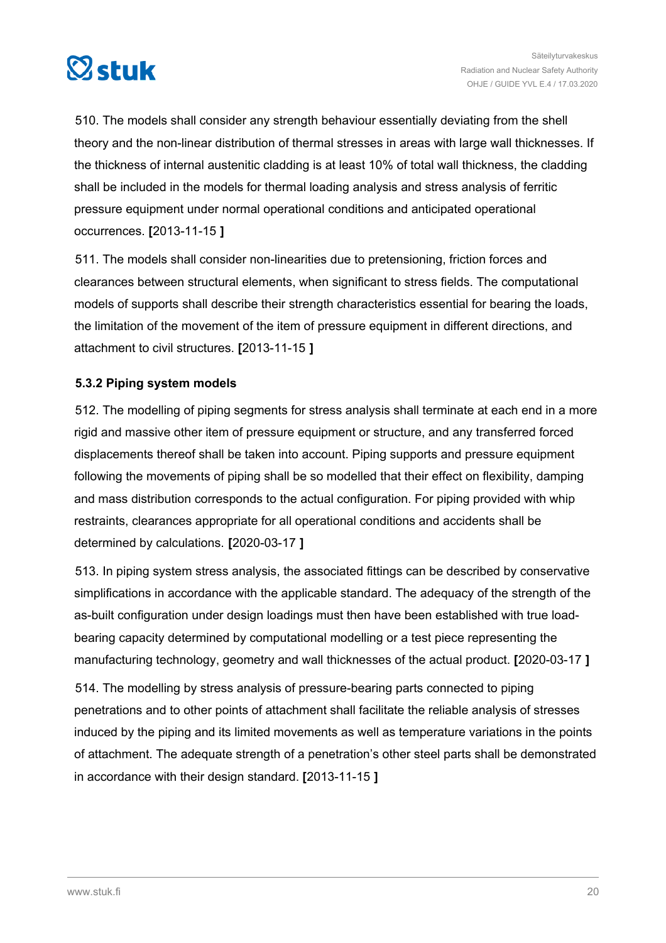<span id="page-19-0"></span>

510. The models shall consider any strength behaviour essentially deviating from the shell theory and the non-linear distribution of thermal stresses in areas with large wall thicknesses. If the thickness of internal austenitic cladding is at least 10% of total wall thickness, the cladding shall be included in the models for thermal loading analysis and stress analysis of ferritic pressure equipment under normal operational conditions and anticipated operational occurrences. **[**2013-11-15 **]**

511. The models shall consider non-linearities due to pretensioning, friction forces and clearances between structural elements, when significant to stress fields. The computational models of supports shall describe their strength characteristics essential for bearing the loads, the limitation of the movement of the item of pressure equipment in different directions, and attachment to civil structures. **[**2013-11-15 **]**

# **5.3.2 Piping system models**

512. The modelling of piping segments for stress analysis shall terminate at each end in a more rigid and massive other item of pressure equipment or structure, and any transferred forced displacements thereof shall be taken into account. Piping supports and pressure equipment following the movements of piping shall be so modelled that their effect on flexibility, damping and mass distribution corresponds to the actual configuration. For piping provided with whip restraints, clearances appropriate for all operational conditions and accidents shall be determined by calculations. **[**2020-03-17 **]**

513. In piping system stress analysis, the associated fittings can be described by conservative simplifications in accordance with the applicable standard. The adequacy of the strength of the as-built configuration under design loadings must then have been established with true loadbearing capacity determined by computational modelling or a test piece representing the manufacturing technology, geometry and wall thicknesses of the actual product. **[**2020-03-17 **]**

514. The modelling by stress analysis of pressure-bearing parts connected to piping penetrations and to other points of attachment shall facilitate the reliable analysis of stresses induced by the piping and its limited movements as well as temperature variations in the points of attachment. The adequate strength of a penetration's other steel parts shall be demonstrated in accordance with their design standard. **[**2013-11-15 **]**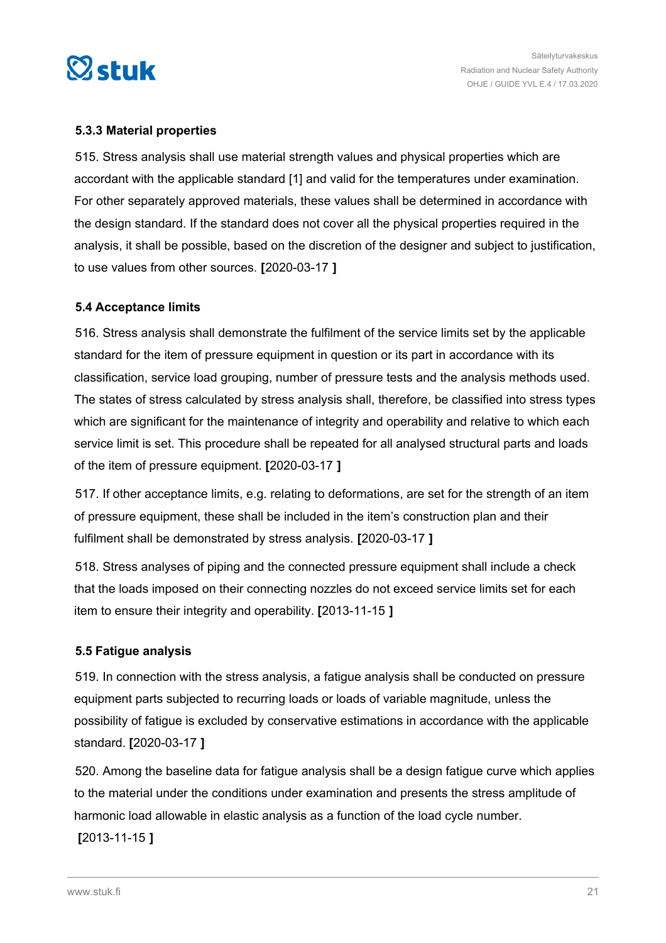<span id="page-20-0"></span>

# **5.3.3 Material properties**

515. Stress analysis shall use material strength values and physical properties which are accordant with the applicable standard [1] and valid for the temperatures under examination. For other separately approved materials, these values shall be determined in accordance with the design standard. If the standard does not cover all the physical properties required in the analysis, it shall be possible, based on the discretion of the designer and subject to justification, to use values from other sources. **[**2020-03-17 **]**

# **5.4 Acceptance limits**

516. Stress analysis shall demonstrate the fulfilment of the service limits set by the applicable standard for the item of pressure equipment in question or its part in accordance with its classification, service load grouping, number of pressure tests and the analysis methods used. The states of stress calculated by stress analysis shall, therefore, be classified into stress types which are significant for the maintenance of integrity and operability and relative to which each service limit is set. This procedure shall be repeated for all analysed structural parts and loads of the item of pressure equipment. **[**2020-03-17 **]**

517. If other acceptance limits, e.g. relating to deformations, are set for the strength of an item of pressure equipment, these shall be included in the item's construction plan and their fulfilment shall be demonstrated by stress analysis. **[**2020-03-17 **]**

518. Stress analyses of piping and the connected pressure equipment shall include a check that the loads imposed on their connecting nozzles do not exceed service limits set for each item to ensure their integrity and operability. **[**2013-11-15 **]**

# **5.5 Fatigue analysis**

519. In connection with the stress analysis, a fatigue analysis shall be conducted on pressure equipment parts subjected to recurring loads or loads of variable magnitude, unless the possibility of fatigue is excluded by conservative estimations in accordance with the applicable standard. **[**2020-03-17 **]**

520. Among the baseline data for fatigue analysis shall be a design fatigue curve which applies to the material under the conditions under examination and presents the stress amplitude of harmonic load allowable in elastic analysis as a function of the load cycle number.

**[**2013-11-15 **]**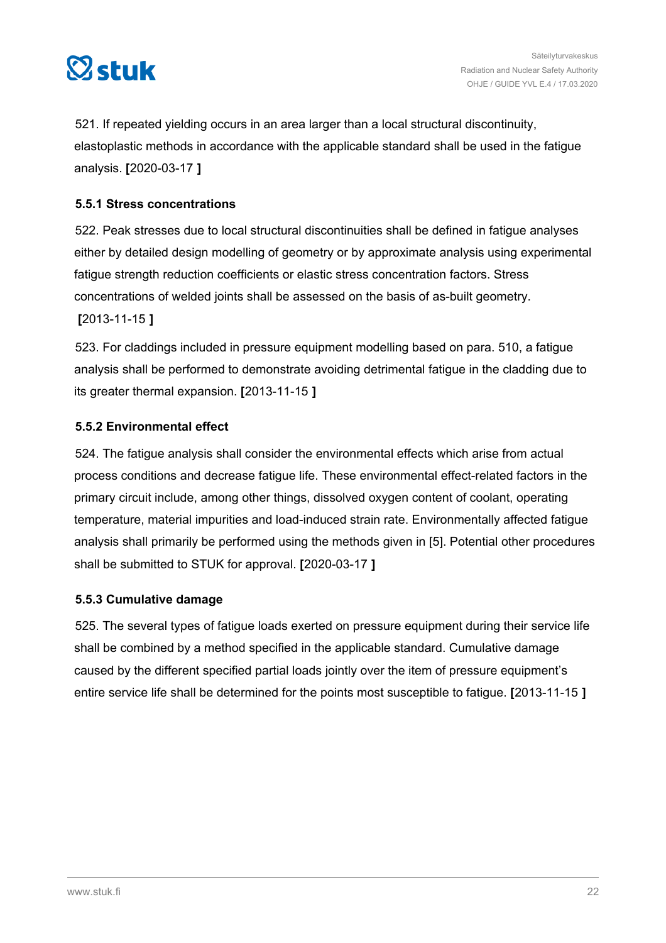<span id="page-21-0"></span>

521. If repeated yielding occurs in an area larger than a local structural discontinuity, elastoplastic methods in accordance with the applicable standard shall be used in the fatigue analysis. **[**2020-03-17 **]**

# **5.5.1 Stress concentrations**

522. Peak stresses due to local structural discontinuities shall be defined in fatigue analyses either by detailed design modelling of geometry or by approximate analysis using experimental fatigue strength reduction coefficients or elastic stress concentration factors. Stress concentrations of welded joints shall be assessed on the basis of as-built geometry.

**[**2013-11-15 **]**

523. For claddings included in pressure equipment modelling based on para. 510, a fatigue analysis shall be performed to demonstrate avoiding detrimental fatigue in the cladding due to its greater thermal expansion. **[**2013-11-15 **]**

# **5.5.2 Environmental effect**

524. The fatigue analysis shall consider the environmental effects which arise from actual process conditions and decrease fatigue life. These environmental effect-related factors in the primary circuit include, among other things, dissolved oxygen content of coolant, operating temperature, material impurities and load-induced strain rate. Environmentally affected fatigue analysis shall primarily be performed using the methods given in [5]. Potential other procedures shall be submitted to STUK for approval. **[**2020-03-17 **]**

# **5.5.3 Cumulative damage**

525. The several types of fatigue loads exerted on pressure equipment during their service life shall be combined by a method specified in the applicable standard. Cumulative damage caused by the different specified partial loads jointly over the item of pressure equipment's entire service life shall be determined for the points most susceptible to fatigue. **[**2013-11-15 **]**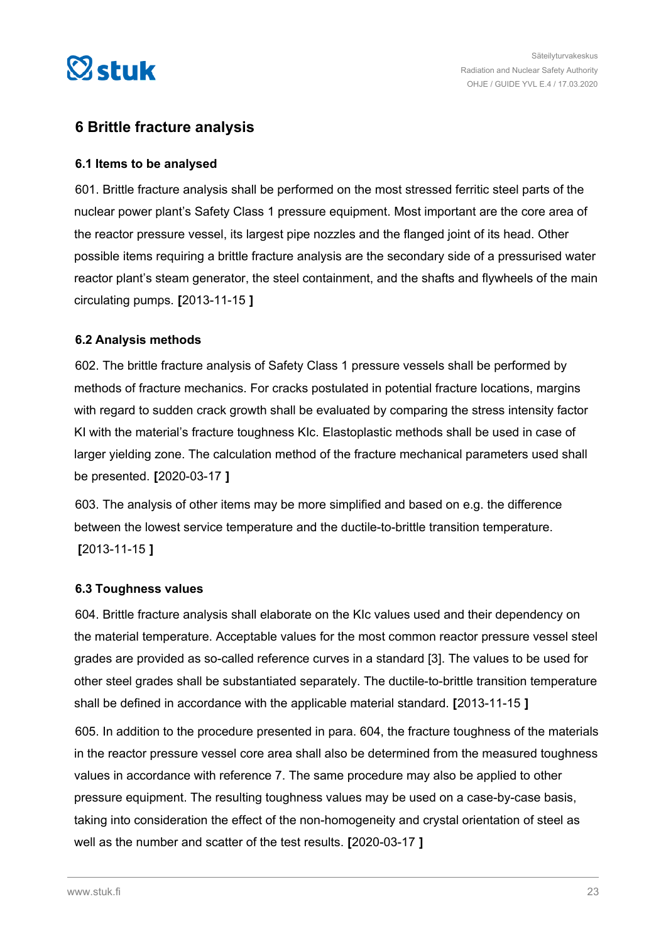<span id="page-22-0"></span>

# **6 Brittle fracture analysis**

# **6.1 Items to be analysed**

601. Brittle fracture analysis shall be performed on the most stressed ferritic steel parts of the nuclear power plant's Safety Class 1 pressure equipment. Most important are the core area of the reactor pressure vessel, its largest pipe nozzles and the flanged joint of its head. Other possible items requiring a brittle fracture analysis are the secondary side of a pressurised water reactor plant's steam generator, the steel containment, and the shafts and flywheels of the main circulating pumps. **[**2013-11-15 **]**

# **6.2 Analysis methods**

602. The brittle fracture analysis of Safety Class 1 pressure vessels shall be performed by methods of fracture mechanics. For cracks postulated in potential fracture locations, margins with regard to sudden crack growth shall be evaluated by comparing the stress intensity factor KI with the material's fracture toughness KIc. Elastoplastic methods shall be used in case of larger yielding zone. The calculation method of the fracture mechanical parameters used shall be presented. **[**2020-03-17 **]**

603. The analysis of other items may be more simplified and based on e.g. the difference between the lowest service temperature and the ductile-to-brittle transition temperature. **[**2013-11-15 **]**

## **6.3 Toughness values**

604. Brittle fracture analysis shall elaborate on the KIc values used and their dependency on the material temperature. Acceptable values for the most common reactor pressure vessel steel grades are provided as so-called reference curves in a standard [3]. The values to be used for other steel grades shall be substantiated separately. The ductile-to-brittle transition temperature shall be defined in accordance with the applicable material standard. **[**2013-11-15 **]**

605. In addition to the procedure presented in para. 604, the fracture toughness of the materials in the reactor pressure vessel core area shall also be determined from the measured toughness values in accordance with reference 7. The same procedure may also be applied to other pressure equipment. The resulting toughness values may be used on a case-by-case basis, taking into consideration the effect of the non-homogeneity and crystal orientation of steel as well as the number and scatter of the test results. **[**2020-03-17 **]**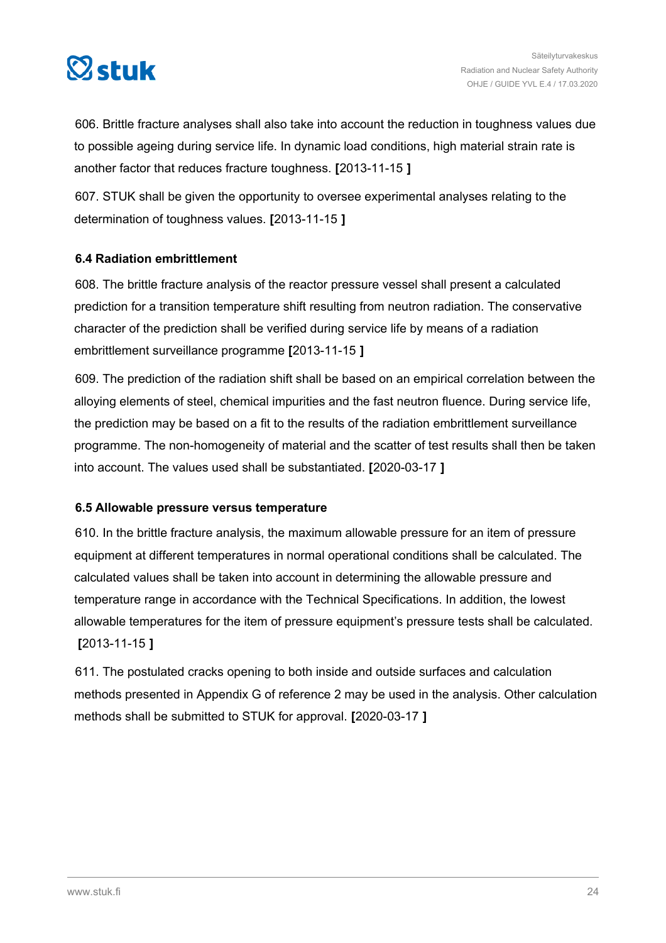<span id="page-23-0"></span>

606. Brittle fracture analyses shall also take into account the reduction in toughness values due to possible ageing during service life. In dynamic load conditions, high material strain rate is another factor that reduces fracture toughness. **[**2013-11-15 **]**

607. STUK shall be given the opportunity to oversee experimental analyses relating to the determination of toughness values. **[**2013-11-15 **]**

# **6.4 Radiation embrittlement**

608. The brittle fracture analysis of the reactor pressure vessel shall present a calculated prediction for a transition temperature shift resulting from neutron radiation. The conservative character of the prediction shall be verified during service life by means of a radiation embrittlement surveillance programme **[**2013-11-15 **]**

609. The prediction of the radiation shift shall be based on an empirical correlation between the alloying elements of steel, chemical impurities and the fast neutron fluence. During service life, the prediction may be based on a fit to the results of the radiation embrittlement surveillance programme. The non-homogeneity of material and the scatter of test results shall then be taken into account. The values used shall be substantiated. **[**2020-03-17 **]**

# **6.5 Allowable pressure versus temperature**

610. In the brittle fracture analysis, the maximum allowable pressure for an item of pressure equipment at different temperatures in normal operational conditions shall be calculated. The calculated values shall be taken into account in determining the allowable pressure and temperature range in accordance with the Technical Specifications. In addition, the lowest allowable temperatures for the item of pressure equipment's pressure tests shall be calculated. **[**2013-11-15 **]**

611. The postulated cracks opening to both inside and outside surfaces and calculation methods presented in Appendix G of reference 2 may be used in the analysis. Other calculation methods shall be submitted to STUK for approval. **[**2020-03-17 **]**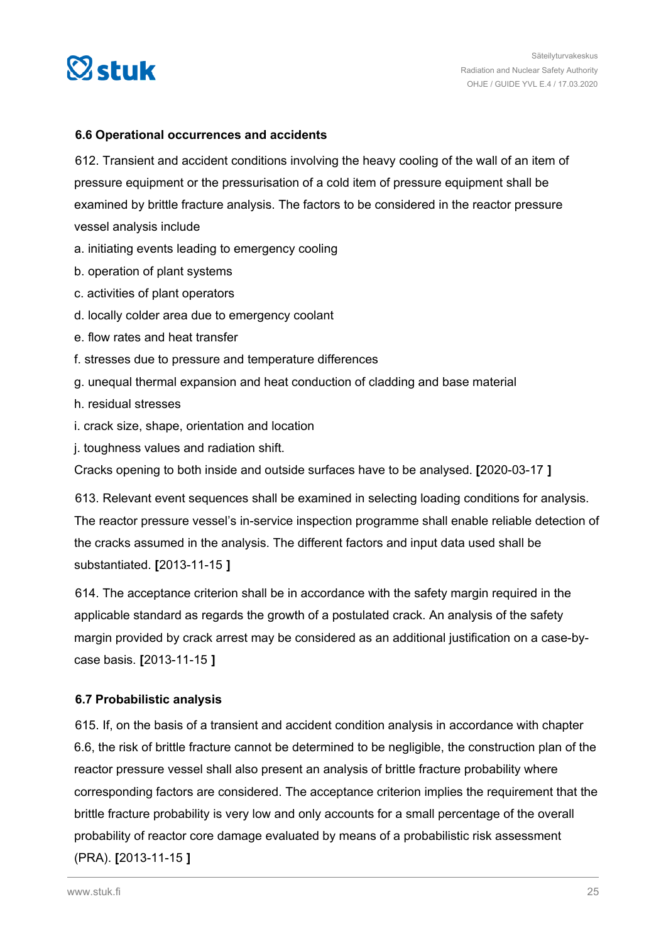<span id="page-24-0"></span>

# **6.6 Operational occurrences and accidents**

612. Transient and accident conditions involving the heavy cooling of the wall of an item of pressure equipment or the pressurisation of a cold item of pressure equipment shall be examined by brittle fracture analysis. The factors to be considered in the reactor pressure vessel analysis include

- a. initiating events leading to emergency cooling
- b. operation of plant systems
- c. activities of plant operators
- d. locally colder area due to emergency coolant
- e. flow rates and heat transfer
- f. stresses due to pressure and temperature differences
- g. unequal thermal expansion and heat conduction of cladding and base material
- h. residual stresses
- i. crack size, shape, orientation and location
- j. toughness values and radiation shift.

Cracks opening to both inside and outside surfaces have to be analysed. **[**2020-03-17 **]**

613. Relevant event sequences shall be examined in selecting loading conditions for analysis. The reactor pressure vessel's in-service inspection programme shall enable reliable detection of the cracks assumed in the analysis. The different factors and input data used shall be substantiated. **[**2013-11-15 **]**

614. The acceptance criterion shall be in accordance with the safety margin required in the applicable standard as regards the growth of a postulated crack. An analysis of the safety margin provided by crack arrest may be considered as an additional justification on a case-bycase basis. **[**2013-11-15 **]**

# **6.7 Probabilistic analysis**

615. If, on the basis of a transient and accident condition analysis in accordance with chapter 6.6, the risk of brittle fracture cannot be determined to be negligible, the construction plan of the reactor pressure vessel shall also present an analysis of brittle fracture probability where corresponding factors are considered. The acceptance criterion implies the requirement that the brittle fracture probability is very low and only accounts for a small percentage of the overall probability of reactor core damage evaluated by means of a probabilistic risk assessment (PRA). **[**2013-11-15 **]**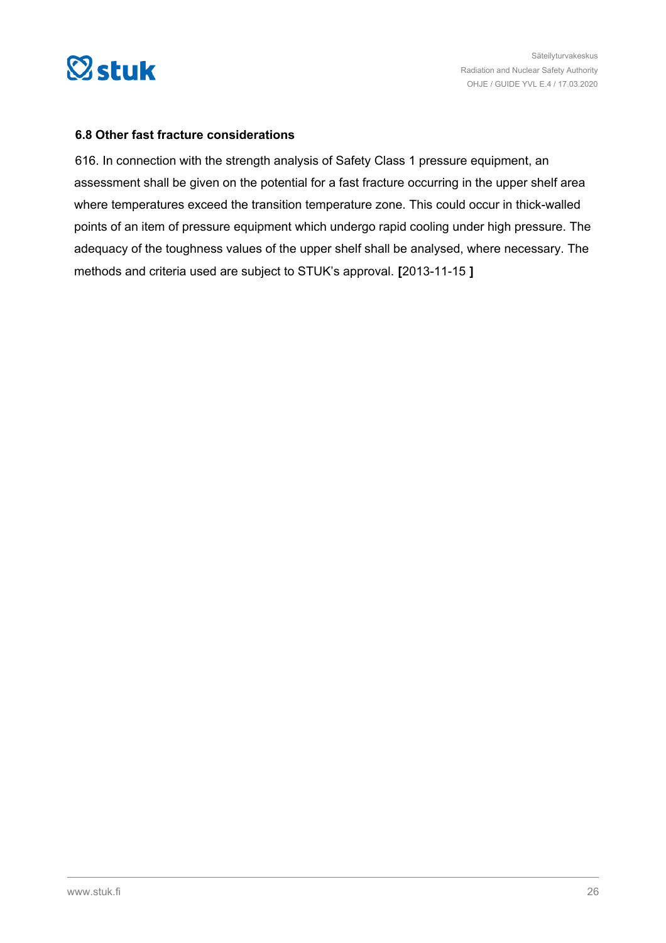<span id="page-25-0"></span>

## **6.8 Other fast fracture considerations**

616. In connection with the strength analysis of Safety Class 1 pressure equipment, an assessment shall be given on the potential for a fast fracture occurring in the upper shelf area where temperatures exceed the transition temperature zone. This could occur in thick-walled points of an item of pressure equipment which undergo rapid cooling under high pressure. The adequacy of the toughness values of the upper shelf shall be analysed, where necessary. The methods and criteria used are subject to STUK's approval. **[**2013-11-15 **]**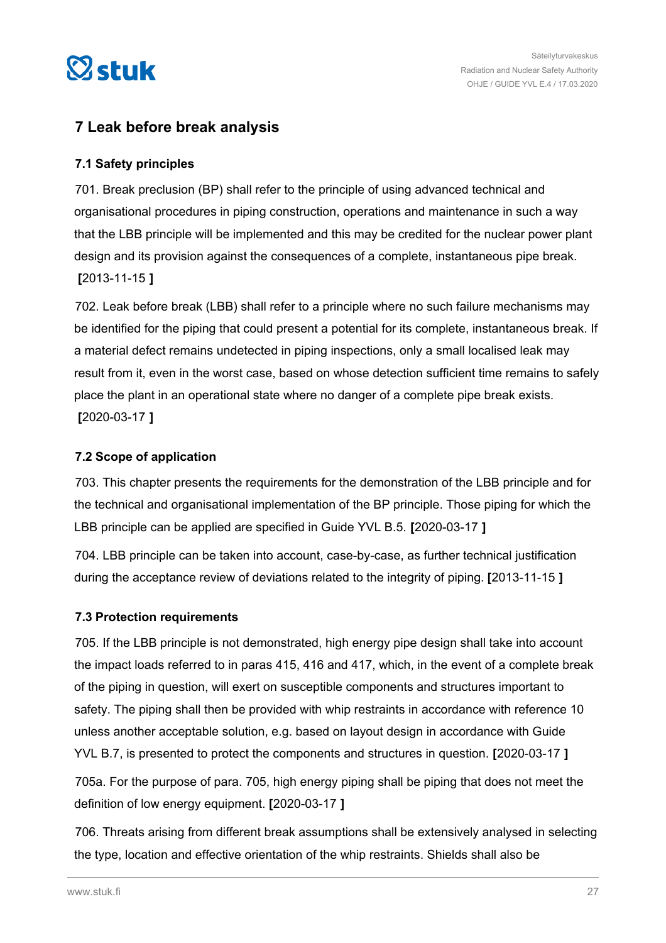<span id="page-26-0"></span>

# **7 Leak before break analysis**

# **7.1 Safety principles**

701. Break preclusion (BP) shall refer to the principle of using advanced technical and organisational procedures in piping construction, operations and maintenance in such a way that the LBB principle will be implemented and this may be credited for the nuclear power plant design and its provision against the consequences of a complete, instantaneous pipe break. **[**2013-11-15 **]**

702. Leak before break (LBB) shall refer to a principle where no such failure mechanisms may be identified for the piping that could present a potential for its complete, instantaneous break. If a material defect remains undetected in piping inspections, only a small localised leak may result from it, even in the worst case, based on whose detection sufficient time remains to safely place the plant in an operational state where no danger of a complete pipe break exists. **[**2020-03-17 **]**

# **7.2 Scope of application**

703. This chapter presents the requirements for the demonstration of the LBB principle and for the technical and organisational implementation of the BP principle. Those piping for which the LBB principle can be applied are specified in Guide YVL B.5. **[**2020-03-17 **]**

704. LBB principle can be taken into account, case-by-case, as further technical justification during the acceptance review of deviations related to the integrity of piping. **[**2013-11-15 **]**

# **7.3 Protection requirements**

705. If the LBB principle is not demonstrated, high energy pipe design shall take into account the impact loads referred to in paras 415, 416 and 417, which, in the event of a complete break of the piping in question, will exert on susceptible components and structures important to safety. The piping shall then be provided with whip restraints in accordance with reference 10 unless another acceptable solution, e.g. based on layout design in accordance with Guide YVL B.7, is presented to protect the components and structures in question. **[**2020-03-17 **]**

705a. For the purpose of para. 705, high energy piping shall be piping that does not meet the definition of low energy equipment. **[**2020-03-17 **]**

706. Threats arising from different break assumptions shall be extensively analysed in selecting the type, location and effective orientation of the whip restraints. Shields shall also be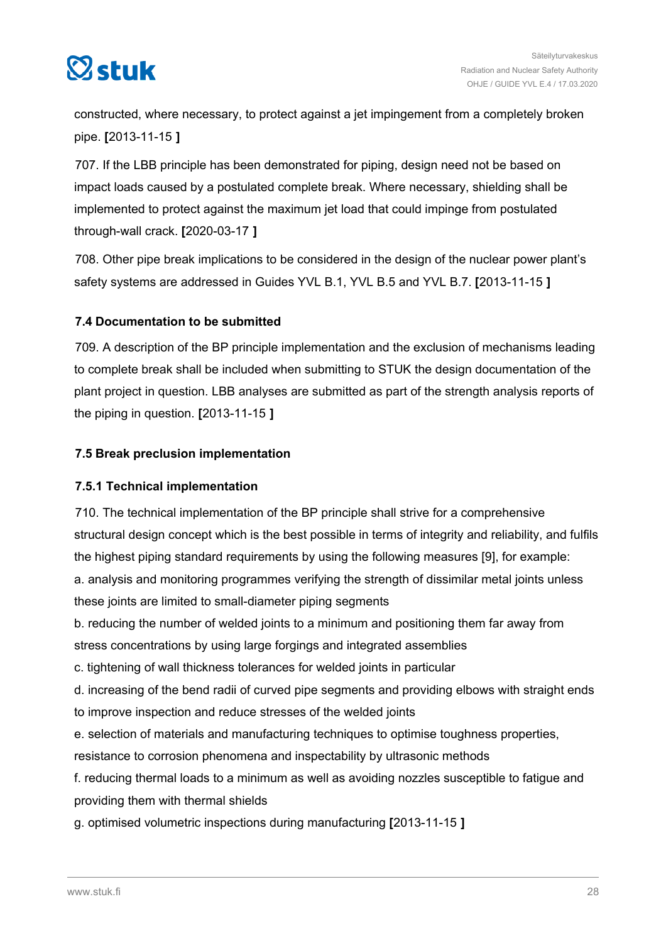<span id="page-27-0"></span>

constructed, where necessary, to protect against a jet impingement from a completely broken pipe. **[**2013-11-15 **]**

707. If the LBB principle has been demonstrated for piping, design need not be based on impact loads caused by a postulated complete break. Where necessary, shielding shall be implemented to protect against the maximum jet load that could impinge from postulated through-wall crack. **[**2020-03-17 **]**

708. Other pipe break implications to be considered in the design of the nuclear power plant's safety systems are addressed in Guides YVL B.1, YVL B.5 and YVL B.7. **[**2013-11-15 **]**

# **7.4 Documentation to be submitted**

709. A description of the BP principle implementation and the exclusion of mechanisms leading to complete break shall be included when submitting to STUK the design documentation of the plant project in question. LBB analyses are submitted as part of the strength analysis reports of the piping in question. **[**2013-11-15 **]**

# **7.5 Break preclusion implementation**

# **7.5.1 Technical implementation**

710. The technical implementation of the BP principle shall strive for a comprehensive structural design concept which is the best possible in terms of integrity and reliability, and fulfils the highest piping standard requirements by using the following measures [9], for example: a. analysis and monitoring programmes verifying the strength of dissimilar metal joints unless these joints are limited to small-diameter piping segments

b. reducing the number of welded joints to a minimum and positioning them far away from stress concentrations by using large forgings and integrated assemblies

c. tightening of wall thickness tolerances for welded joints in particular

d. increasing of the bend radii of curved pipe segments and providing elbows with straight ends to improve inspection and reduce stresses of the welded joints

e. selection of materials and manufacturing techniques to optimise toughness properties,

resistance to corrosion phenomena and inspectability by ultrasonic methods

f. reducing thermal loads to a minimum as well as avoiding nozzles susceptible to fatigue and providing them with thermal shields

g. optimised volumetric inspections during manufacturing **[**2013-11-15 **]**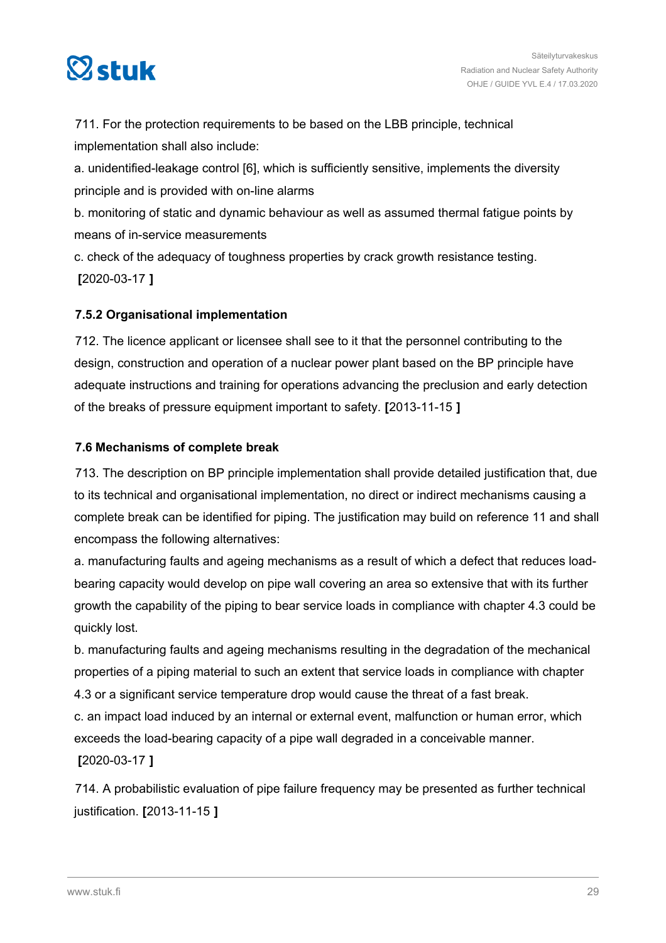<span id="page-28-0"></span>

711. For the protection requirements to be based on the LBB principle, technical implementation shall also include:

a. unidentified-leakage control [6], which is sufficiently sensitive, implements the diversity principle and is provided with on-line alarms

b. monitoring of static and dynamic behaviour as well as assumed thermal fatigue points by means of in-service measurements

c. check of the adequacy of toughness properties by crack growth resistance testing. **[**2020-03-17 **]**

# **7.5.2 Organisational implementation**

712. The licence applicant or licensee shall see to it that the personnel contributing to the design, construction and operation of a nuclear power plant based on the BP principle have adequate instructions and training for operations advancing the preclusion and early detection of the breaks of pressure equipment important to safety. **[**2013-11-15 **]**

# **7.6 Mechanisms of complete break**

713. The description on BP principle implementation shall provide detailed justification that, due to its technical and organisational implementation, no direct or indirect mechanisms causing a complete break can be identified for piping. The justification may build on reference 11 and shall encompass the following alternatives:

a. manufacturing faults and ageing mechanisms as a result of which a defect that reduces loadbearing capacity would develop on pipe wall covering an area so extensive that with its further growth the capability of the piping to bear service loads in compliance with chapter 4.3 could be quickly lost.

b. manufacturing faults and ageing mechanisms resulting in the degradation of the mechanical properties of a piping material to such an extent that service loads in compliance with chapter 4.3 or a significant service temperature drop would cause the threat of a fast break.

c. an impact load induced by an internal or external event, malfunction or human error, which exceeds the load-bearing capacity of a pipe wall degraded in a conceivable manner. **[**2020-03-17 **]**

714. A probabilistic evaluation of pipe failure frequency may be presented as further technical justification. **[**2013-11-15 **]**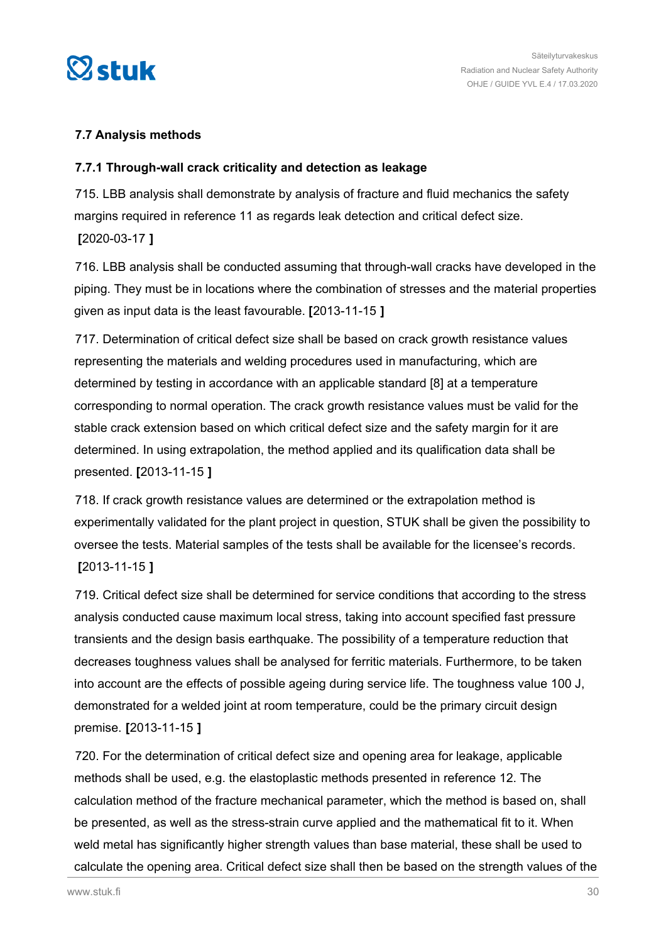<span id="page-29-0"></span>

# **7.7 Analysis methods**

# **7.7.1 Through-wall crack criticality and detection as leakage**

715. LBB analysis shall demonstrate by analysis of fracture and fluid mechanics the safety margins required in reference 11 as regards leak detection and critical defect size. **[**2020-03-17 **]**

716. LBB analysis shall be conducted assuming that through-wall cracks have developed in the piping. They must be in locations where the combination of stresses and the material properties given as input data is the least favourable. **[**2013-11-15 **]**

717. Determination of critical defect size shall be based on crack growth resistance values representing the materials and welding procedures used in manufacturing, which are determined by testing in accordance with an applicable standard [8] at a temperature corresponding to normal operation. The crack growth resistance values must be valid for the stable crack extension based on which critical defect size and the safety margin for it are determined. In using extrapolation, the method applied and its qualification data shall be presented. **[**2013-11-15 **]**

718. If crack growth resistance values are determined or the extrapolation method is experimentally validated for the plant project in question, STUK shall be given the possibility to oversee the tests. Material samples of the tests shall be available for the licensee's records. **[**2013-11-15 **]**

719. Critical defect size shall be determined for service conditions that according to the stress analysis conducted cause maximum local stress, taking into account specified fast pressure transients and the design basis earthquake. The possibility of a temperature reduction that decreases toughness values shall be analysed for ferritic materials. Furthermore, to be taken into account are the effects of possible ageing during service life. The toughness value 100 J, demonstrated for a welded joint at room temperature, could be the primary circuit design premise. **[**2013-11-15 **]**

720. For the determination of critical defect size and opening area for leakage, applicable methods shall be used, e.g. the elastoplastic methods presented in reference 12. The calculation method of the fracture mechanical parameter, which the method is based on, shall be presented, as well as the stress-strain curve applied and the mathematical fit to it. When weld metal has significantly higher strength values than base material, these shall be used to calculate the opening area. Critical defect size shall then be based on the strength values of the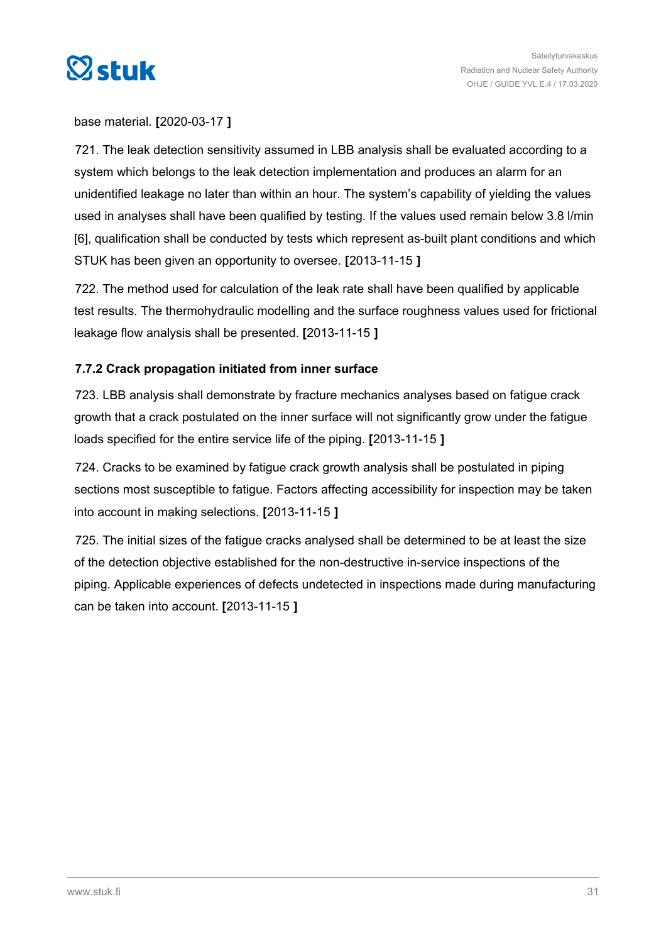<span id="page-30-0"></span>

base material. **[**2020-03-17 **]**

721. The leak detection sensitivity assumed in LBB analysis shall be evaluated according to a system which belongs to the leak detection implementation and produces an alarm for an unidentified leakage no later than within an hour. The system's capability of yielding the values used in analyses shall have been qualified by testing. If the values used remain below 3.8 l/min [6], qualification shall be conducted by tests which represent as-built plant conditions and which STUK has been given an opportunity to oversee. **[**2013-11-15 **]**

722. The method used for calculation of the leak rate shall have been qualified by applicable test results. The thermohydraulic modelling and the surface roughness values used for frictional leakage flow analysis shall be presented. **[**2013-11-15 **]**

# **7.7.2 Crack propagation initiated from inner surface**

723. LBB analysis shall demonstrate by fracture mechanics analyses based on fatigue crack growth that a crack postulated on the inner surface will not significantly grow under the fatigue loads specified for the entire service life of the piping. **[**2013-11-15 **]**

724. Cracks to be examined by fatigue crack growth analysis shall be postulated in piping sections most susceptible to fatigue. Factors affecting accessibility for inspection may be taken into account in making selections. **[**2013-11-15 **]**

725. The initial sizes of the fatigue cracks analysed shall be determined to be at least the size of the detection objective established for the non-destructive in-service inspections of the piping. Applicable experiences of defects undetected in inspections made during manufacturing can be taken into account. **[**2013-11-15 **]**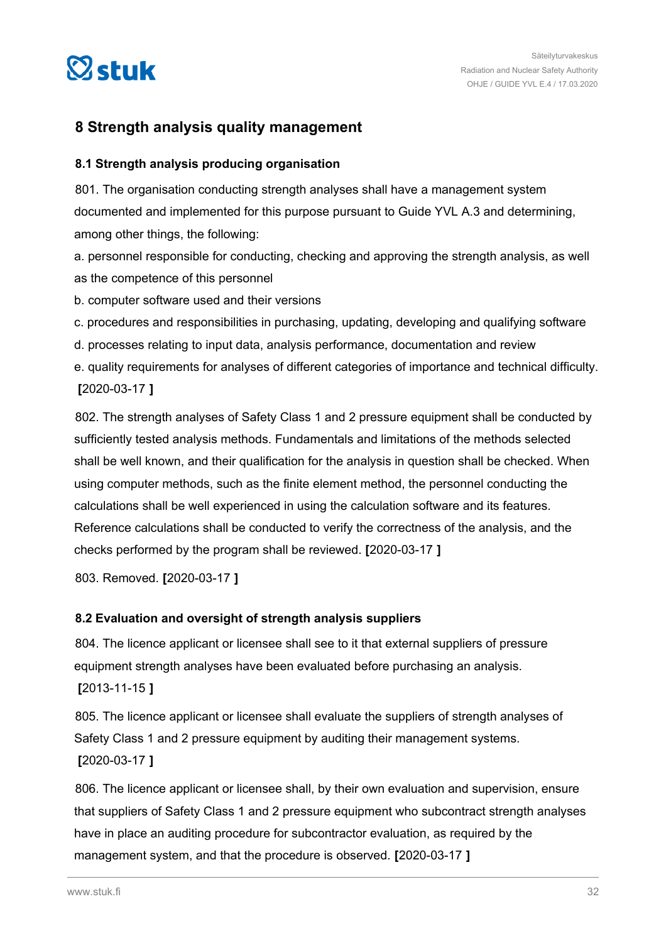<span id="page-31-0"></span>

# **8 Strength analysis quality management**

# **8.1 Strength analysis producing organisation**

801. The organisation conducting strength analyses shall have a management system documented and implemented for this purpose pursuant to Guide YVL A.3 and determining, among other things, the following:

a. personnel responsible for conducting, checking and approving the strength analysis, as well as the competence of this personnel

b. computer software used and their versions

c. procedures and responsibilities in purchasing, updating, developing and qualifying software

d. processes relating to input data, analysis performance, documentation and review

e. quality requirements for analyses of different categories of importance and technical difficulty. **[**2020-03-17 **]**

802. The strength analyses of Safety Class 1 and 2 pressure equipment shall be conducted by sufficiently tested analysis methods. Fundamentals and limitations of the methods selected shall be well known, and their qualification for the analysis in question shall be checked. When using computer methods, such as the finite element method, the personnel conducting the calculations shall be well experienced in using the calculation software and its features. Reference calculations shall be conducted to verify the correctness of the analysis, and the checks performed by the program shall be reviewed. **[**2020-03-17 **]**

803. Removed. **[**2020-03-17 **]**

# **8.2 Evaluation and oversight of strength analysis suppliers**

804. The licence applicant or licensee shall see to it that external suppliers of pressure equipment strength analyses have been evaluated before purchasing an analysis. **[**2013-11-15 **]**

805. The licence applicant or licensee shall evaluate the suppliers of strength analyses of Safety Class 1 and 2 pressure equipment by auditing their management systems. **[**2020-03-17 **]**

806. The licence applicant or licensee shall, by their own evaluation and supervision, ensure that suppliers of Safety Class 1 and 2 pressure equipment who subcontract strength analyses have in place an auditing procedure for subcontractor evaluation, as required by the management system, and that the procedure is observed. **[**2020-03-17 **]**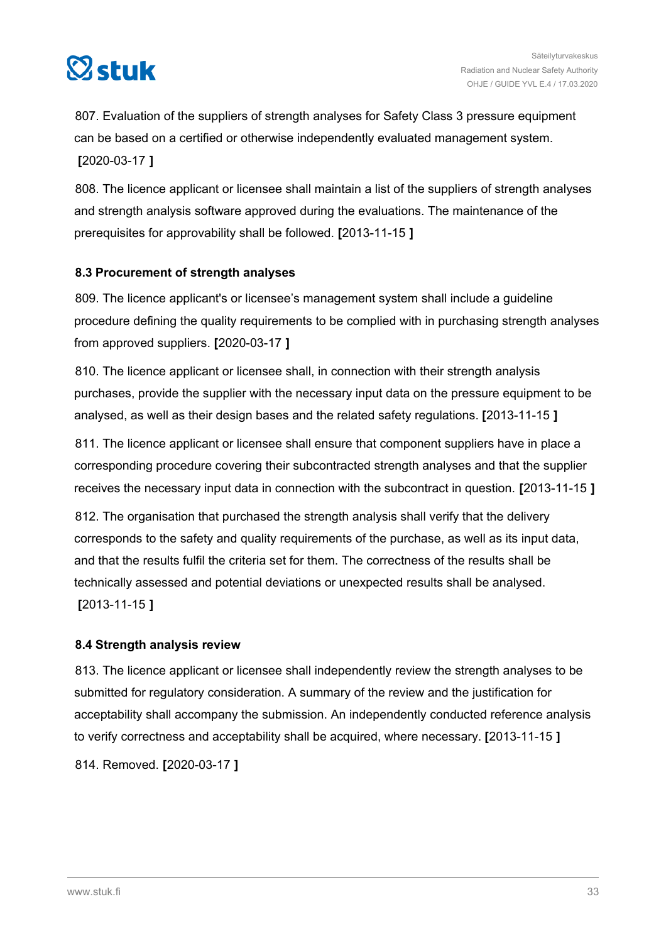<span id="page-32-0"></span>

807. Evaluation of the suppliers of strength analyses for Safety Class 3 pressure equipment can be based on a certified or otherwise independently evaluated management system. **[**2020-03-17 **]**

808. The licence applicant or licensee shall maintain a list of the suppliers of strength analyses and strength analysis software approved during the evaluations. The maintenance of the prerequisites for approvability shall be followed. **[**2013-11-15 **]**

# **8.3 Procurement of strength analyses**

809. The licence applicant's or licensee's management system shall include a guideline procedure defining the quality requirements to be complied with in purchasing strength analyses from approved suppliers. **[**2020-03-17 **]**

810. The licence applicant or licensee shall, in connection with their strength analysis purchases, provide the supplier with the necessary input data on the pressure equipment to be analysed, as well as their design bases and the related safety regulations. **[**2013-11-15 **]**

811. The licence applicant or licensee shall ensure that component suppliers have in place a corresponding procedure covering their subcontracted strength analyses and that the supplier receives the necessary input data in connection with the subcontract in question. **[**2013-11-15 **]**

812. The organisation that purchased the strength analysis shall verify that the delivery corresponds to the safety and quality requirements of the purchase, as well as its input data, and that the results fulfil the criteria set for them. The correctness of the results shall be technically assessed and potential deviations or unexpected results shall be analysed. **[**2013-11-15 **]**

# **8.4 Strength analysis review**

813. The licence applicant or licensee shall independently review the strength analyses to be submitted for regulatory consideration. A summary of the review and the justification for acceptability shall accompany the submission. An independently conducted reference analysis to verify correctness and acceptability shall be acquired, where necessary. **[**2013-11-15 **]**

814. Removed. **[**2020-03-17 **]**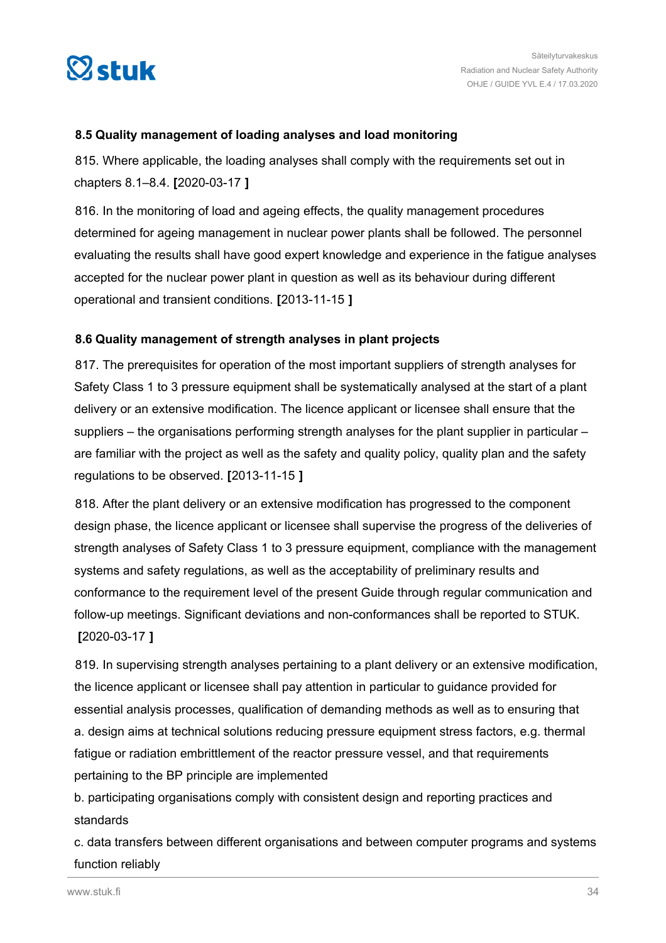<span id="page-33-0"></span>

# **8.5 Quality management of loading analyses and load monitoring**

815. Where applicable, the loading analyses shall comply with the requirements set out in chapters 8.1–8.4. **[**2020-03-17 **]**

816. In the monitoring of load and ageing effects, the quality management procedures determined for ageing management in nuclear power plants shall be followed. The personnel evaluating the results shall have good expert knowledge and experience in the fatigue analyses accepted for the nuclear power plant in question as well as its behaviour during different operational and transient conditions. **[**2013-11-15 **]**

# **8.6 Quality management of strength analyses in plant projects**

817. The prerequisites for operation of the most important suppliers of strength analyses for Safety Class 1 to 3 pressure equipment shall be systematically analysed at the start of a plant delivery or an extensive modification. The licence applicant or licensee shall ensure that the suppliers – the organisations performing strength analyses for the plant supplier in particular – are familiar with the project as well as the safety and quality policy, quality plan and the safety regulations to be observed. **[**2013-11-15 **]**

818. After the plant delivery or an extensive modification has progressed to the component design phase, the licence applicant or licensee shall supervise the progress of the deliveries of strength analyses of Safety Class 1 to 3 pressure equipment, compliance with the management systems and safety regulations, as well as the acceptability of preliminary results and conformance to the requirement level of the present Guide through regular communication and follow-up meetings. Significant deviations and non-conformances shall be reported to STUK. **[**2020-03-17 **]**

819. In supervising strength analyses pertaining to a plant delivery or an extensive modification, the licence applicant or licensee shall pay attention in particular to guidance provided for essential analysis processes, qualification of demanding methods as well as to ensuring that a. design aims at technical solutions reducing pressure equipment stress factors, e.g. thermal fatigue or radiation embrittlement of the reactor pressure vessel, and that requirements pertaining to the BP principle are implemented

b. participating organisations comply with consistent design and reporting practices and standards

c. data transfers between different organisations and between computer programs and systems function reliably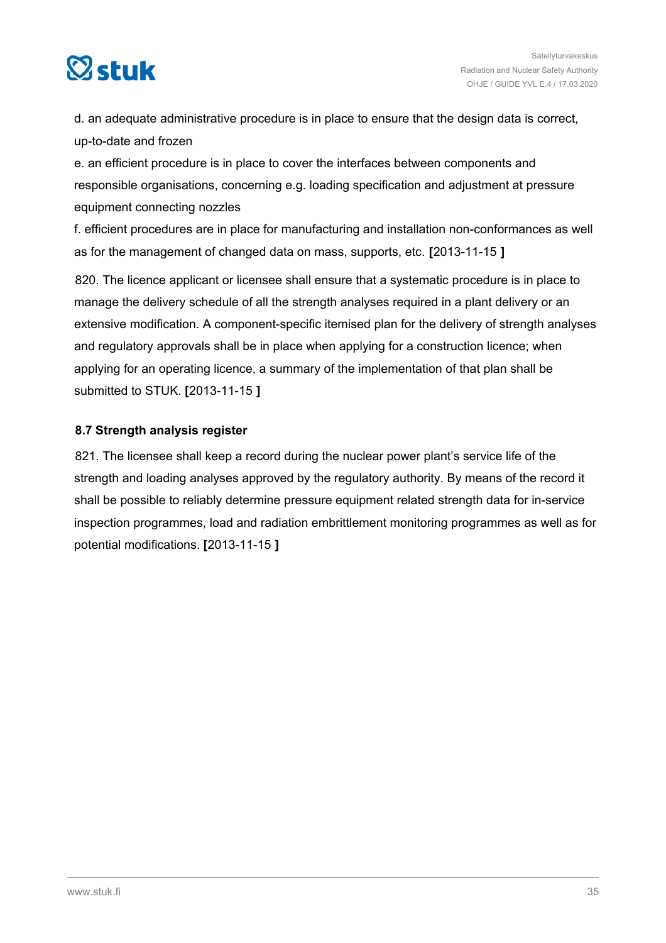<span id="page-34-0"></span>

d. an adequate administrative procedure is in place to ensure that the design data is correct, up-to-date and frozen

e. an efficient procedure is in place to cover the interfaces between components and responsible organisations, concerning e.g. loading specification and adjustment at pressure equipment connecting nozzles

f. efficient procedures are in place for manufacturing and installation non-conformances as well as for the management of changed data on mass, supports, etc. **[**2013-11-15 **]**

820. The licence applicant or licensee shall ensure that a systematic procedure is in place to manage the delivery schedule of all the strength analyses required in a plant delivery or an extensive modification. A component-specific itemised plan for the delivery of strength analyses and regulatory approvals shall be in place when applying for a construction licence; when applying for an operating licence, a summary of the implementation of that plan shall be submitted to STUK. **[**2013-11-15 **]**

# **8.7 Strength analysis register**

821. The licensee shall keep a record during the nuclear power plant's service life of the strength and loading analyses approved by the regulatory authority. By means of the record it shall be possible to reliably determine pressure equipment related strength data for in-service inspection programmes, load and radiation embrittlement monitoring programmes as well as for potential modifications. **[**2013-11-15 **]**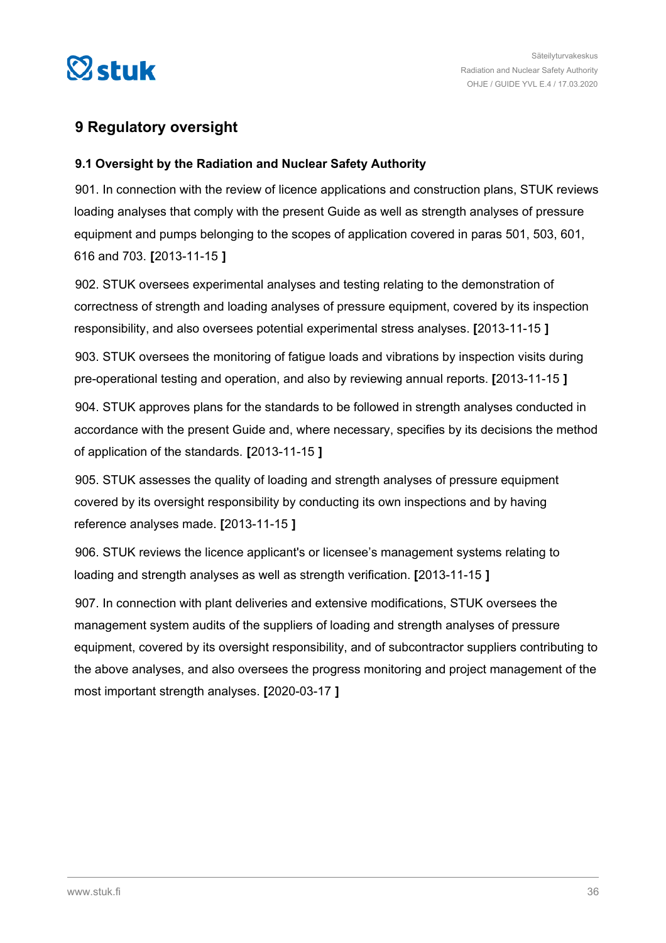<span id="page-35-0"></span>

# **9 Regulatory oversight**

# **9.1 Oversight by the Radiation and Nuclear Safety Authority**

901. In connection with the review of licence applications and construction plans, STUK reviews loading analyses that comply with the present Guide as well as strength analyses of pressure equipment and pumps belonging to the scopes of application covered in paras 501, 503, 601, 616 and 703. **[**2013-11-15 **]**

902. STUK oversees experimental analyses and testing relating to the demonstration of correctness of strength and loading analyses of pressure equipment, covered by its inspection responsibility, and also oversees potential experimental stress analyses. **[**2013-11-15 **]**

903. STUK oversees the monitoring of fatigue loads and vibrations by inspection visits during pre-operational testing and operation, and also by reviewing annual reports. **[**2013-11-15 **]**

904. STUK approves plans for the standards to be followed in strength analyses conducted in accordance with the present Guide and, where necessary, specifies by its decisions the method of application of the standards. **[**2013-11-15 **]**

905. STUK assesses the quality of loading and strength analyses of pressure equipment covered by its oversight responsibility by conducting its own inspections and by having reference analyses made. **[**2013-11-15 **]**

906. STUK reviews the licence applicant's or licensee's management systems relating to loading and strength analyses as well as strength verification. **[**2013-11-15 **]**

907. In connection with plant deliveries and extensive modifications, STUK oversees the management system audits of the suppliers of loading and strength analyses of pressure equipment, covered by its oversight responsibility, and of subcontractor suppliers contributing to the above analyses, and also oversees the progress monitoring and project management of the most important strength analyses. **[**2020-03-17 **]**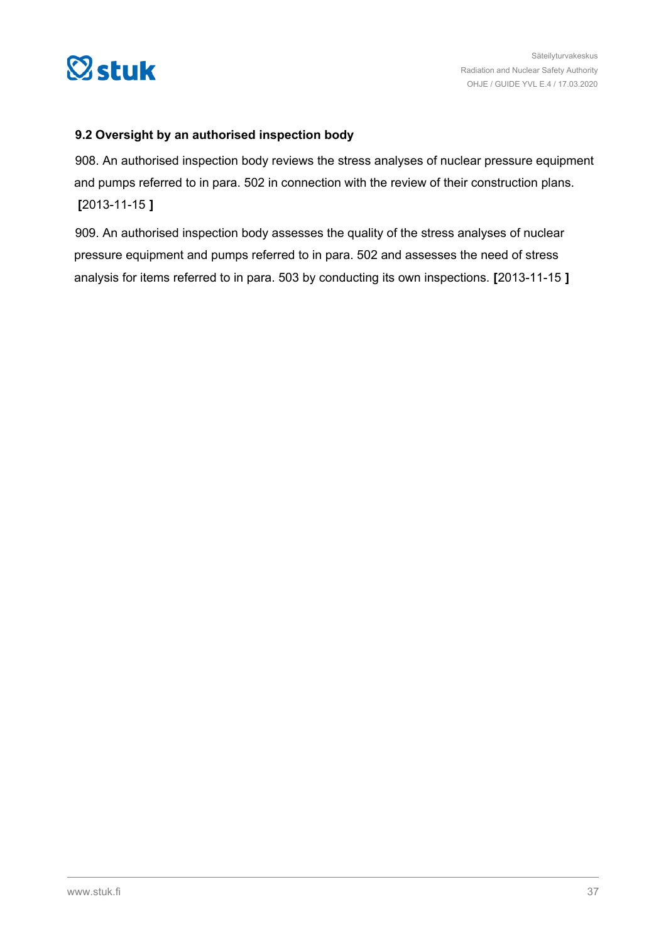<span id="page-36-0"></span>

# **9.2 Oversight by an authorised inspection body**

908. An authorised inspection body reviews the stress analyses of nuclear pressure equipment and pumps referred to in para. 502 in connection with the review of their construction plans. **[**2013-11-15 **]**

909. An authorised inspection body assesses the quality of the stress analyses of nuclear pressure equipment and pumps referred to in para. 502 and assesses the need of stress analysis for items referred to in para. 503 by conducting its own inspections. **[**2013-11-15 **]**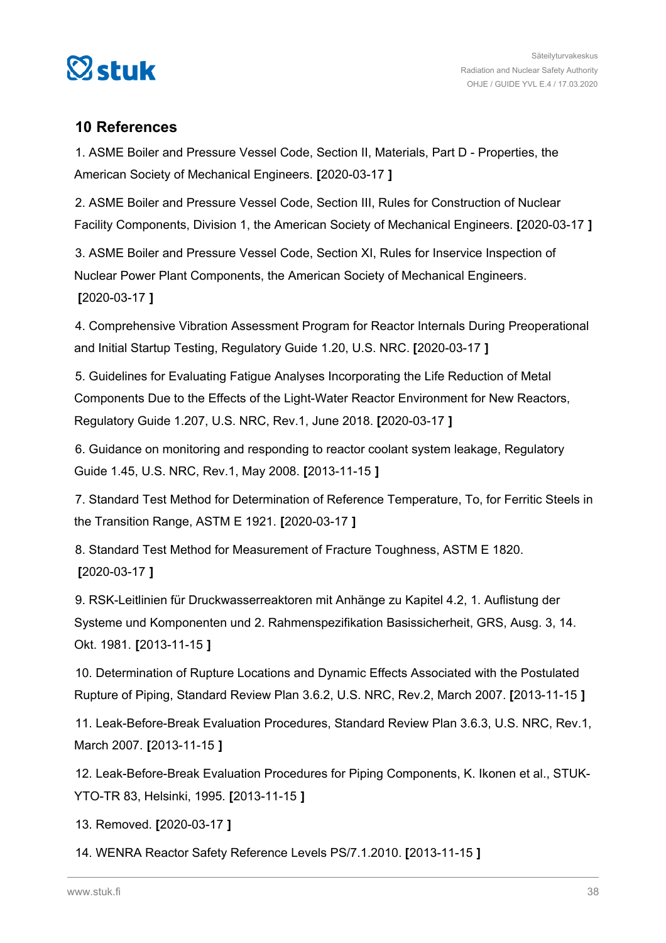<span id="page-37-0"></span>

# **10 References**

1. ASME Boiler and Pressure Vessel Code, Section II, Materials, Part D - Properties, the American Society of Mechanical Engineers. **[**2020-03-17 **]**

2. ASME Boiler and Pressure Vessel Code, Section III, Rules for Construction of Nuclear Facility Components, Division 1, the American Society of Mechanical Engineers. **[**2020-03-17 **]**

3. ASME Boiler and Pressure Vessel Code, Section XI, Rules for Inservice Inspection of Nuclear Power Plant Components, the American Society of Mechanical Engineers. **[**2020-03-17 **]**

4. Comprehensive Vibration Assessment Program for Reactor Internals During Preoperational and Initial Startup Testing, Regulatory Guide 1.20, U.S. NRC. **[**2020-03-17 **]**

5. Guidelines for Evaluating Fatigue Analyses Incorporating the Life Reduction of Metal Components Due to the Effects of the Light-Water Reactor Environment for New Reactors, Regulatory Guide 1.207, U.S. NRC, Rev.1, June 2018. **[**2020-03-17 **]**

6. Guidance on monitoring and responding to reactor coolant system leakage, Regulatory Guide 1.45, U.S. NRC, Rev.1, May 2008. **[**2013-11-15 **]**

7. Standard Test Method for Determination of Reference Temperature, To, for Ferritic Steels in the Transition Range, ASTM E 1921. **[**2020-03-17 **]**

8. Standard Test Method for Measurement of Fracture Toughness, ASTM E 1820. **[**2020-03-17 **]**

9. RSK-Leitlinien für Druckwasserreaktoren mit Anhänge zu Kapitel 4.2, 1. Auflistung der Systeme und Komponenten und 2. Rahmenspezifikation Basissicherheit, GRS, Ausg. 3, 14. Okt. 1981. **[**2013-11-15 **]**

10. Determination of Rupture Locations and Dynamic Effects Associated with the Postulated Rupture of Piping, Standard Review Plan 3.6.2, U.S. NRC, Rev.2, March 2007. **[**2013-11-15 **]**

11. Leak-Before-Break Evaluation Procedures, Standard Review Plan 3.6.3, U.S. NRC, Rev.1, March 2007. **[**2013-11-15 **]**

12. Leak-Before-Break Evaluation Procedures for Piping Components, K. Ikonen et al., STUK-YTO-TR 83, Helsinki, 1995. **[**2013-11-15 **]**

13. Removed. **[**2020-03-17 **]**

14. WENRA Reactor Safety Reference Levels PS/7.1.2010. **[**2013-11-15 **]**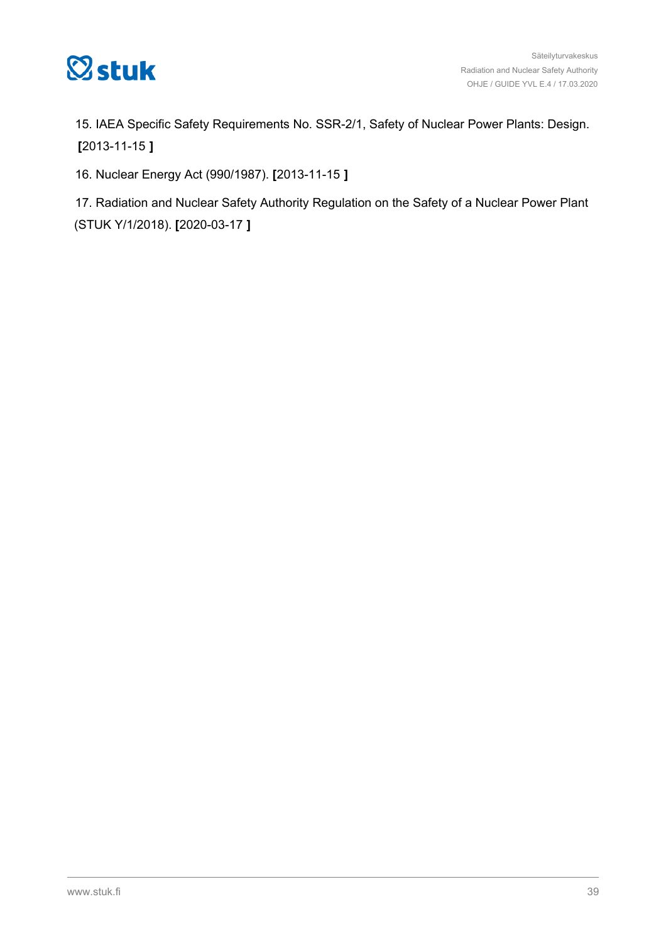

15. IAEA Specific Safety Requirements No. SSR-2/1, Safety of Nuclear Power Plants: Design. **[**2013-11-15 **]**

16. Nuclear Energy Act (990/1987). **[**2013-11-15 **]**

17. Radiation and Nuclear Safety Authority Regulation on the Safety of a Nuclear Power Plant (STUK Y/1/2018). **[**2020-03-17 **]**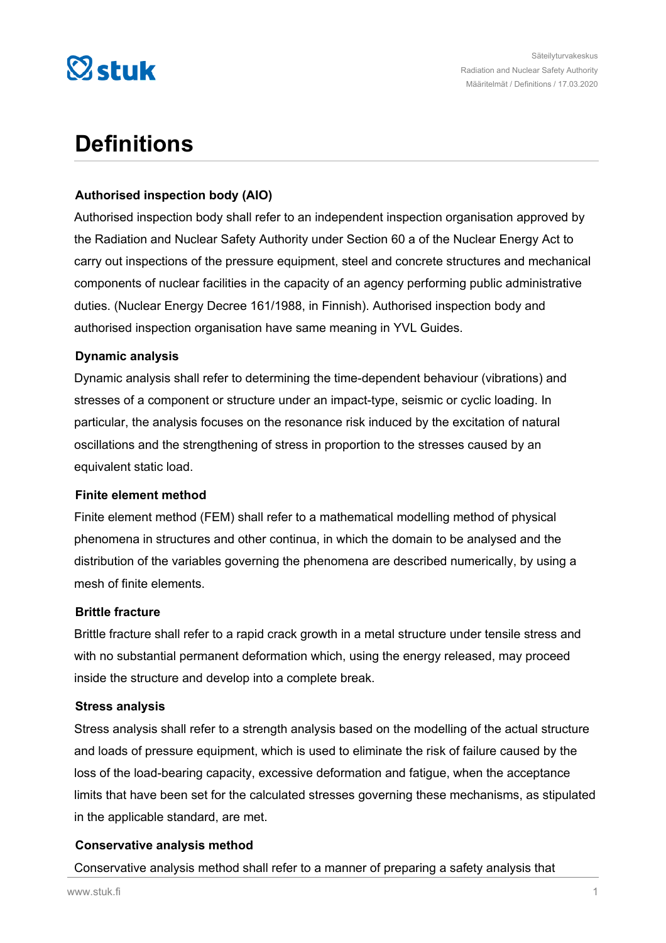

# **Definitions**

# **Authorised inspection body (AIO)**

Authorised inspection body shall refer to an independent inspection organisation approved by the Radiation and Nuclear Safety Authority under Section 60 a of the Nuclear Energy Act to carry out inspections of the pressure equipment, steel and concrete structures and mechanical components of nuclear facilities in the capacity of an agency performing public administrative duties. (Nuclear Energy Decree 161/1988, in Finnish). Authorised inspection body and authorised inspection organisation have same meaning in YVL Guides.

# **Dynamic analysis**

Dynamic analysis shall refer to determining the time-dependent behaviour (vibrations) and stresses of a component or structure under an impact-type, seismic or cyclic loading. In particular, the analysis focuses on the resonance risk induced by the excitation of natural oscillations and the strengthening of stress in proportion to the stresses caused by an equivalent static load.

## **Finite element method**

Finite element method (FEM) shall refer to a mathematical modelling method of physical phenomena in structures and other continua, in which the domain to be analysed and the distribution of the variables governing the phenomena are described numerically, by using a mesh of finite elements.

## **Brittle fracture**

Brittle fracture shall refer to a rapid crack growth in a metal structure under tensile stress and with no substantial permanent deformation which, using the energy released, may proceed inside the structure and develop into a complete break.

## **Stress analysis**

Stress analysis shall refer to a strength analysis based on the modelling of the actual structure and loads of pressure equipment, which is used to eliminate the risk of failure caused by the loss of the load-bearing capacity, excessive deformation and fatigue, when the acceptance limits that have been set for the calculated stresses governing these mechanisms, as stipulated in the applicable standard, are met.

# **Conservative analysis method**

Conservative analysis method shall refer to a manner of preparing a safety analysis that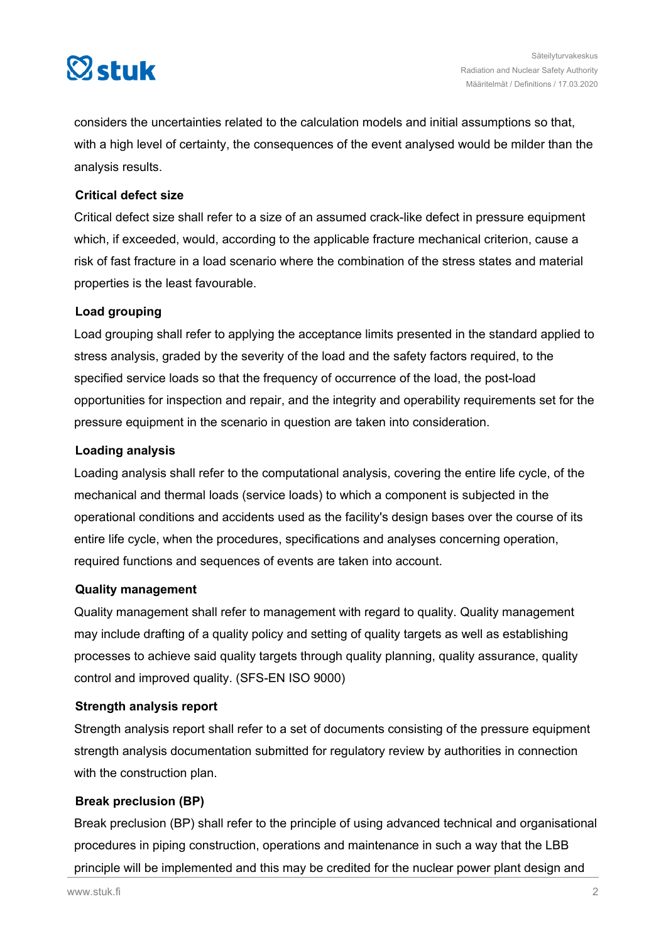

considers the uncertainties related to the calculation models and initial assumptions so that, with a high level of certainty, the consequences of the event analysed would be milder than the analysis results.

# **Critical defect size**

Critical defect size shall refer to a size of an assumed crack-like defect in pressure equipment which, if exceeded, would, according to the applicable fracture mechanical criterion, cause a risk of fast fracture in a load scenario where the combination of the stress states and material properties is the least favourable.

# **Load grouping**

Load grouping shall refer to applying the acceptance limits presented in the standard applied to stress analysis, graded by the severity of the load and the safety factors required, to the specified service loads so that the frequency of occurrence of the load, the post-load opportunities for inspection and repair, and the integrity and operability requirements set for the pressure equipment in the scenario in question are taken into consideration.

# **Loading analysis**

Loading analysis shall refer to the computational analysis, covering the entire life cycle, of the mechanical and thermal loads (service loads) to which a component is subjected in the operational conditions and accidents used as the facility's design bases over the course of its entire life cycle, when the procedures, specifications and analyses concerning operation, required functions and sequences of events are taken into account.

## **Quality management**

Quality management shall refer to management with regard to quality. Quality management may include drafting of a quality policy and setting of quality targets as well as establishing processes to achieve said quality targets through quality planning, quality assurance, quality control and improved quality. (SFS-EN ISO 9000)

## **Strength analysis report**

Strength analysis report shall refer to a set of documents consisting of the pressure equipment strength analysis documentation submitted for regulatory review by authorities in connection with the construction plan.

## **Break preclusion (BP)**

Break preclusion (BP) shall refer to the principle of using advanced technical and organisational procedures in piping construction, operations and maintenance in such a way that the LBB principle will be implemented and this may be credited for the nuclear power plant design and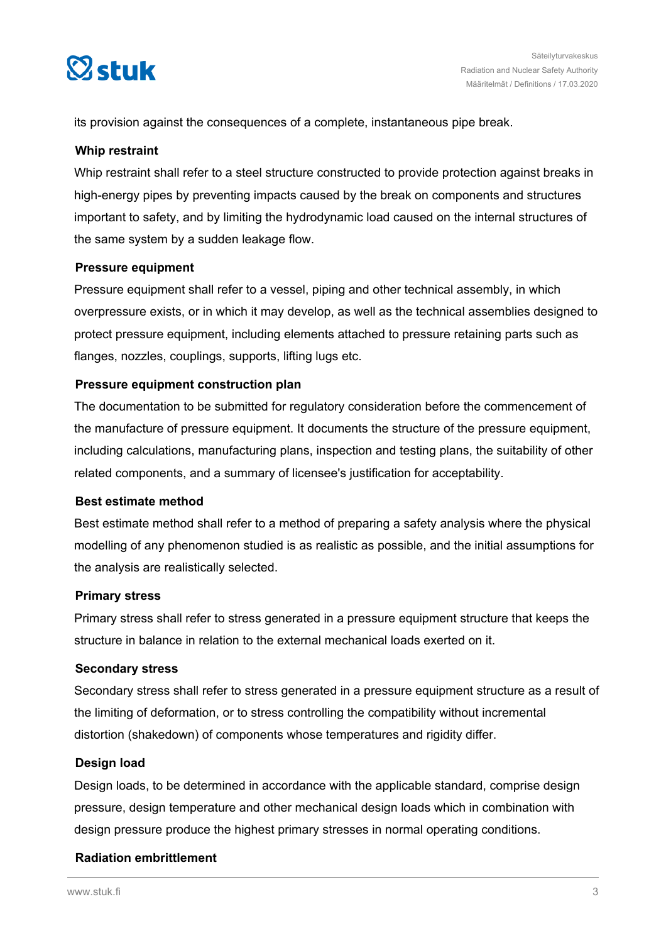

its provision against the consequences of a complete, instantaneous pipe break.

# **Whip restraint**

Whip restraint shall refer to a steel structure constructed to provide protection against breaks in high-energy pipes by preventing impacts caused by the break on components and structures important to safety, and by limiting the hydrodynamic load caused on the internal structures of the same system by a sudden leakage flow.

# **Pressure equipment**

Pressure equipment shall refer to a vessel, piping and other technical assembly, in which overpressure exists, or in which it may develop, as well as the technical assemblies designed to protect pressure equipment, including elements attached to pressure retaining parts such as flanges, nozzles, couplings, supports, lifting lugs etc.

# **Pressure equipment construction plan**

The documentation to be submitted for regulatory consideration before the commencement of the manufacture of pressure equipment. It documents the structure of the pressure equipment, including calculations, manufacturing plans, inspection and testing plans, the suitability of other related components, and a summary of licensee's justification for acceptability.

## **Best estimate method**

Best estimate method shall refer to a method of preparing a safety analysis where the physical modelling of any phenomenon studied is as realistic as possible, and the initial assumptions for the analysis are realistically selected.

## **Primary stress**

Primary stress shall refer to stress generated in a pressure equipment structure that keeps the structure in balance in relation to the external mechanical loads exerted on it.

## **Secondary stress**

Secondary stress shall refer to stress generated in a pressure equipment structure as a result of the limiting of deformation, or to stress controlling the compatibility without incremental distortion (shakedown) of components whose temperatures and rigidity differ.

## **Design load**

Design loads, to be determined in accordance with the applicable standard, comprise design pressure, design temperature and other mechanical design loads which in combination with design pressure produce the highest primary stresses in normal operating conditions.

# **Radiation embrittlement**